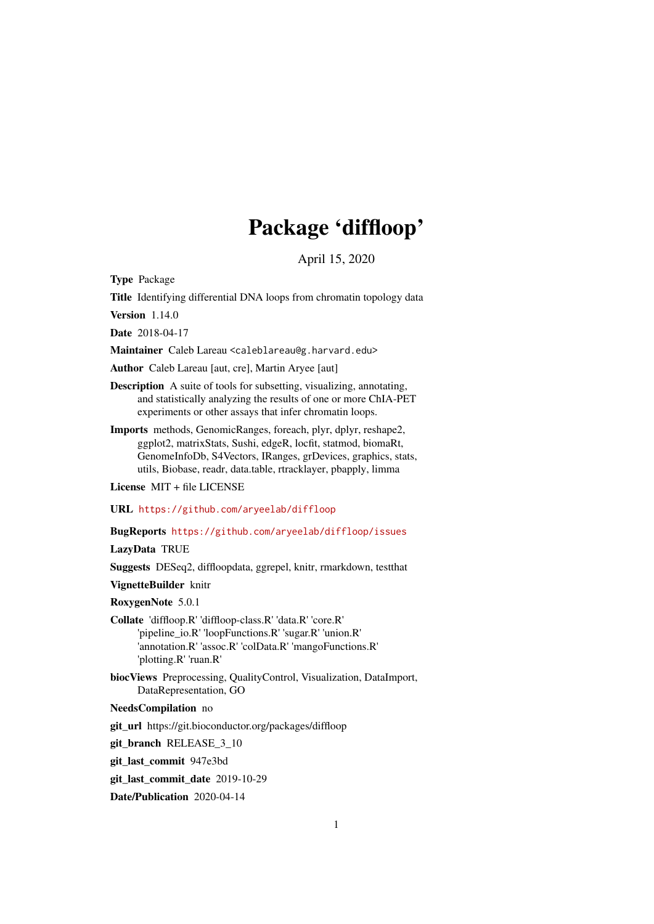# Package 'diffloop'

April 15, 2020

Type Package

Title Identifying differential DNA loops from chromatin topology data

Version 1.14.0

Date 2018-04-17

Maintainer Caleb Lareau <caleblareau@g.harvard.edu>

Author Caleb Lareau [aut, cre], Martin Aryee [aut]

- Description A suite of tools for subsetting, visualizing, annotating, and statistically analyzing the results of one or more ChIA-PET experiments or other assays that infer chromatin loops.
- Imports methods, GenomicRanges, foreach, plyr, dplyr, reshape2, ggplot2, matrixStats, Sushi, edgeR, locfit, statmod, biomaRt, GenomeInfoDb, S4Vectors, IRanges, grDevices, graphics, stats, utils, Biobase, readr, data.table, rtracklayer, pbapply, limma

License MIT + file LICENSE

URL <https://github.com/aryeelab/diffloop>

BugReports <https://github.com/aryeelab/diffloop/issues>

LazyData TRUE

Suggests DESeq2, diffloopdata, ggrepel, knitr, rmarkdown, testthat

VignetteBuilder knitr

RoxygenNote 5.0.1

Collate 'diffloop.R' 'diffloop-class.R' 'data.R' 'core.R' 'pipeline\_io.R' 'loopFunctions.R' 'sugar.R' 'union.R' 'annotation.R' 'assoc.R' 'colData.R' 'mangoFunctions.R' 'plotting.R' 'ruan.R'

biocViews Preprocessing, QualityControl, Visualization, DataImport, DataRepresentation, GO

NeedsCompilation no

git\_url https://git.bioconductor.org/packages/diffloop

git\_branch RELEASE\_3\_10

git\_last\_commit 947e3bd

git\_last\_commit\_date 2019-10-29

Date/Publication 2020-04-14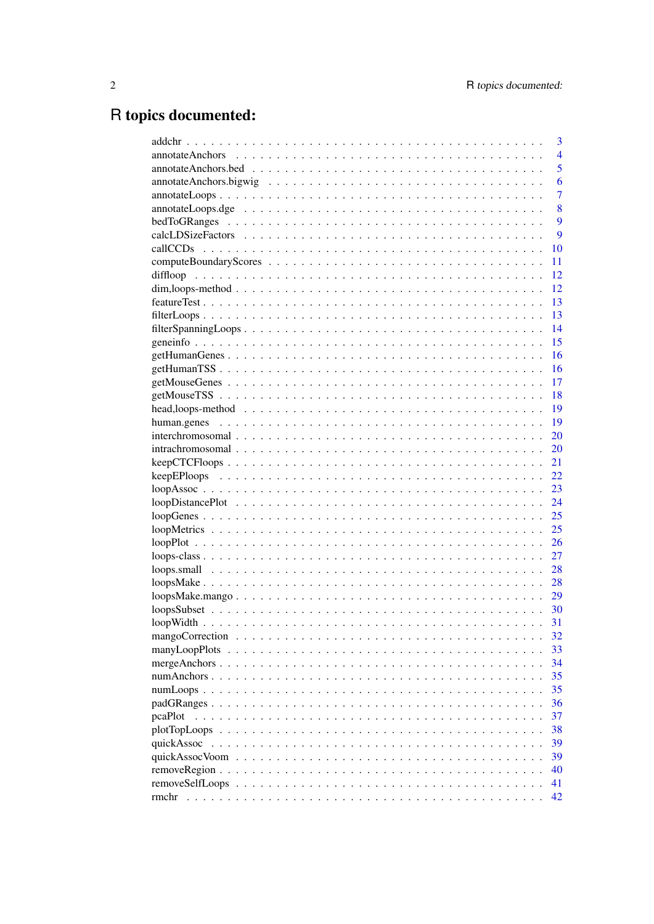# R topics documented:

|         | 3              |
|---------|----------------|
|         | $\overline{4}$ |
|         | 5              |
|         | 6              |
|         | $\overline{7}$ |
|         | 8              |
|         | 9              |
|         | 9              |
|         | 10             |
|         | 11             |
|         | 12             |
|         | 12             |
|         | 13             |
|         | 13             |
|         | 14             |
|         | 15             |
|         | 16             |
|         | 16             |
|         | 17             |
|         | 18             |
|         | 19             |
|         | 19             |
|         | 20             |
|         | 20             |
|         | 21             |
|         | 22             |
|         | 23             |
|         | 24             |
|         | 25             |
|         | 25             |
|         | 26             |
|         | 27             |
|         | 28             |
|         | 28             |
|         | 29             |
|         |                |
|         | 31             |
|         | 32             |
|         | 33             |
|         | 34             |
|         | 35             |
|         | 35             |
|         | 36             |
|         | 37             |
| pcaPlot |                |
|         | 38             |
|         | 39             |
|         | 39             |
|         | 40             |
|         | 41             |
| rmchr   | 42             |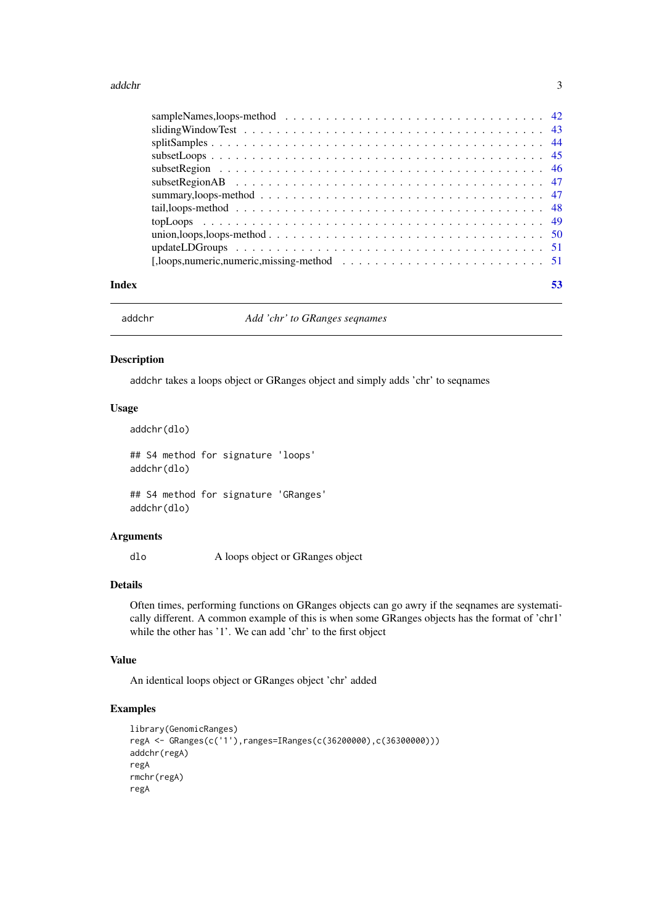#### <span id="page-2-0"></span>addchr 3

| Index |                                                                                                                    |  |
|-------|--------------------------------------------------------------------------------------------------------------------|--|
|       |                                                                                                                    |  |
|       |                                                                                                                    |  |
|       |                                                                                                                    |  |
|       |                                                                                                                    |  |
|       |                                                                                                                    |  |
|       | summary, loops-method $\ldots \ldots \ldots \ldots \ldots \ldots \ldots \ldots \ldots \ldots \ldots \ldots \ldots$ |  |
|       | subset Region AB $\ldots \ldots \ldots \ldots \ldots \ldots \ldots \ldots \ldots \ldots \ldots \ldots \ldots$      |  |
|       |                                                                                                                    |  |
|       |                                                                                                                    |  |
|       |                                                                                                                    |  |
|       | sliding Window Test $\ldots \ldots \ldots \ldots \ldots \ldots \ldots \ldots \ldots \ldots \ldots \ldots \ldots$   |  |
|       |                                                                                                                    |  |

addchr *Add 'chr' to GRanges seqnames*

#### Description

addchr takes a loops object or GRanges object and simply adds 'chr' to seqnames

## Usage

```
addchr(dlo)
## S4 method for signature 'loops'
addchr(dlo)
```
## S4 method for signature 'GRanges' addchr(dlo)

## Arguments

dlo A loops object or GRanges object

## Details

Often times, performing functions on GRanges objects can go awry if the seqnames are systematically different. A common example of this is when some GRanges objects has the format of 'chr1' while the other has '1'. We can add 'chr' to the first object

## Value

An identical loops object or GRanges object 'chr' added

```
library(GenomicRanges)
regA <- GRanges(c('1'),ranges=IRanges(c(36200000),c(36300000)))
addchr(regA)
regA
rmchr(regA)
regA
```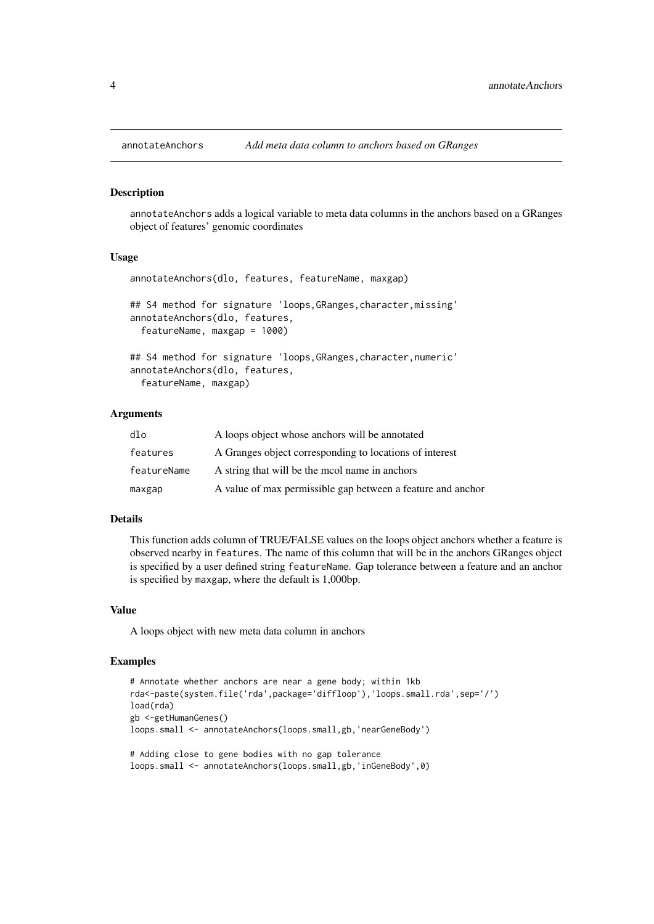annotateAnchors adds a logical variable to meta data columns in the anchors based on a GRanges object of features' genomic coordinates

## Usage

```
annotateAnchors(dlo, features, featureName, maxgap)
## S4 method for signature 'loops, GRanges, character, missing'
annotateAnchors(dlo, features,
  featureName, maxgap = 1000)
## S4 method for signature 'loops,GRanges,character,numeric'
```
annotateAnchors(dlo, features, featureName, maxgap)

## Arguments

| dlo         | A loops object whose anchors will be annotated              |
|-------------|-------------------------------------------------------------|
| features    | A Granges object corresponding to locations of interest     |
| featureName | A string that will be the mool name in anchors              |
| maxgap      | A value of max permissible gap between a feature and anchor |

#### Details

This function adds column of TRUE/FALSE values on the loops object anchors whether a feature is observed nearby in features. The name of this column that will be in the anchors GRanges object is specified by a user defined string featureName. Gap tolerance between a feature and an anchor is specified by maxgap, where the default is 1,000bp.

## Value

A loops object with new meta data column in anchors

```
# Annotate whether anchors are near a gene body; within 1kb
rda<-paste(system.file('rda',package='diffloop'),'loops.small.rda',sep='/')
load(rda)
gb <-getHumanGenes()
loops.small <- annotateAnchors(loops.small,gb,'nearGeneBody')
# Adding close to gene bodies with no gap tolerance
loops.small <- annotateAnchors(loops.small,gb,'inGeneBody',0)
```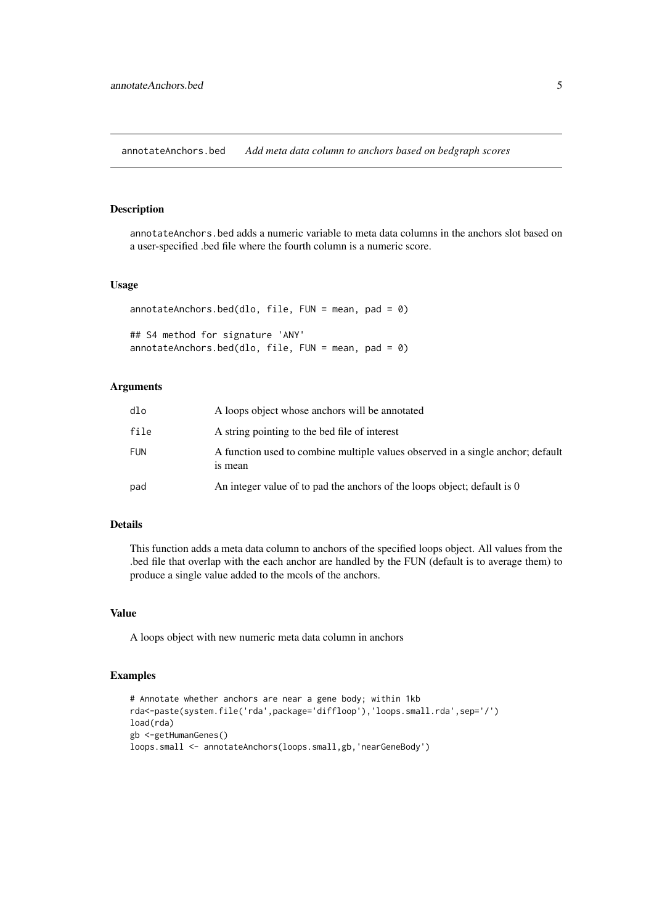<span id="page-4-0"></span>annotateAnchors.bed *Add meta data column to anchors based on bedgraph scores*

## Description

annotateAnchors.bed adds a numeric variable to meta data columns in the anchors slot based on a user-specified .bed file where the fourth column is a numeric score.

## Usage

```
annotateAnchors.bed(dlo, file, FUN = mean, pad = 0)
## S4 method for signature 'ANY'
annotateAnchors.bed(dlo, file, FUN = mean, pad = \theta)
```
#### Arguments

| dlo        | A loops object whose anchors will be annotated                                             |
|------------|--------------------------------------------------------------------------------------------|
| file       | A string pointing to the bed file of interest                                              |
| <b>FUN</b> | A function used to combine multiple values observed in a single anchor; default<br>is mean |
| pad        | An integer value of to pad the anchors of the loops object; default is 0                   |

## Details

This function adds a meta data column to anchors of the specified loops object. All values from the .bed file that overlap with the each anchor are handled by the FUN (default is to average them) to produce a single value added to the mcols of the anchors.

#### Value

A loops object with new numeric meta data column in anchors

```
# Annotate whether anchors are near a gene body; within 1kb
rda<-paste(system.file('rda',package='diffloop'),'loops.small.rda',sep='/')
load(rda)
gb <-getHumanGenes()
loops.small <- annotateAnchors(loops.small,gb,'nearGeneBody')
```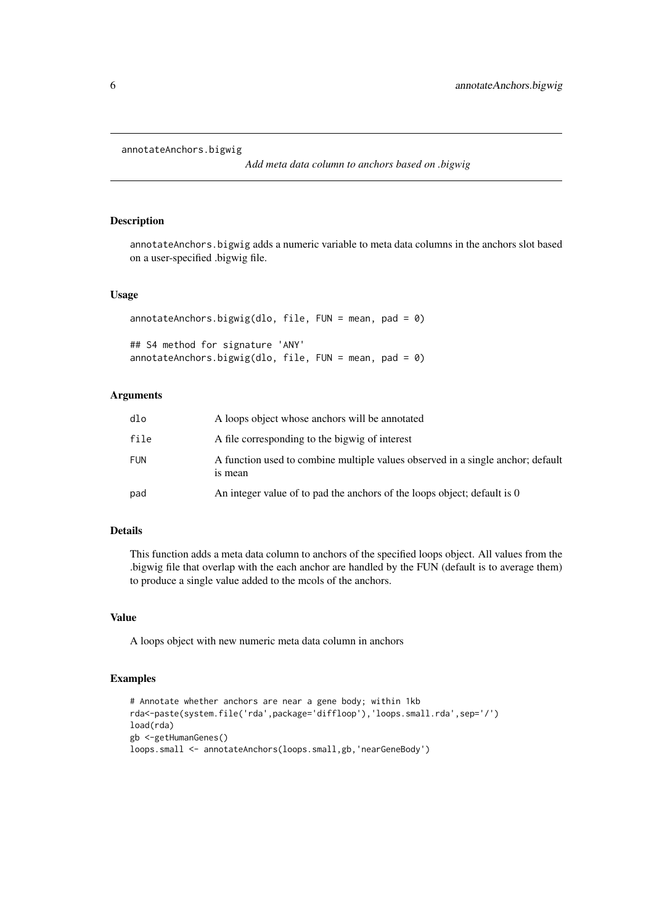```
annotateAnchors.bigwig
```
*Add meta data column to anchors based on .bigwig*

## Description

annotateAnchors.bigwig adds a numeric variable to meta data columns in the anchors slot based on a user-specified .bigwig file.

## Usage

```
annotateAnchors.bigwig(dlo, file, FUN = mean, pad = 0)
## S4 method for signature 'ANY'
annotateAnchors.bigwig(dlo, file, FUN = mean, pad = 0)
```
#### Arguments

| dlo        | A loops object whose anchors will be annotated                                             |
|------------|--------------------------------------------------------------------------------------------|
| file       | A file corresponding to the bigwig of interest                                             |
| <b>FUN</b> | A function used to combine multiple values observed in a single anchor; default<br>is mean |
| pad        | An integer value of to pad the anchors of the loops object; default is 0                   |

## Details

This function adds a meta data column to anchors of the specified loops object. All values from the .bigwig file that overlap with the each anchor are handled by the FUN (default is to average them) to produce a single value added to the mcols of the anchors.

## Value

A loops object with new numeric meta data column in anchors

```
# Annotate whether anchors are near a gene body; within 1kb
rda<-paste(system.file('rda',package='diffloop'),'loops.small.rda',sep='/')
load(rda)
gb <-getHumanGenes()
loops.small <- annotateAnchors(loops.small,gb,'nearGeneBody')
```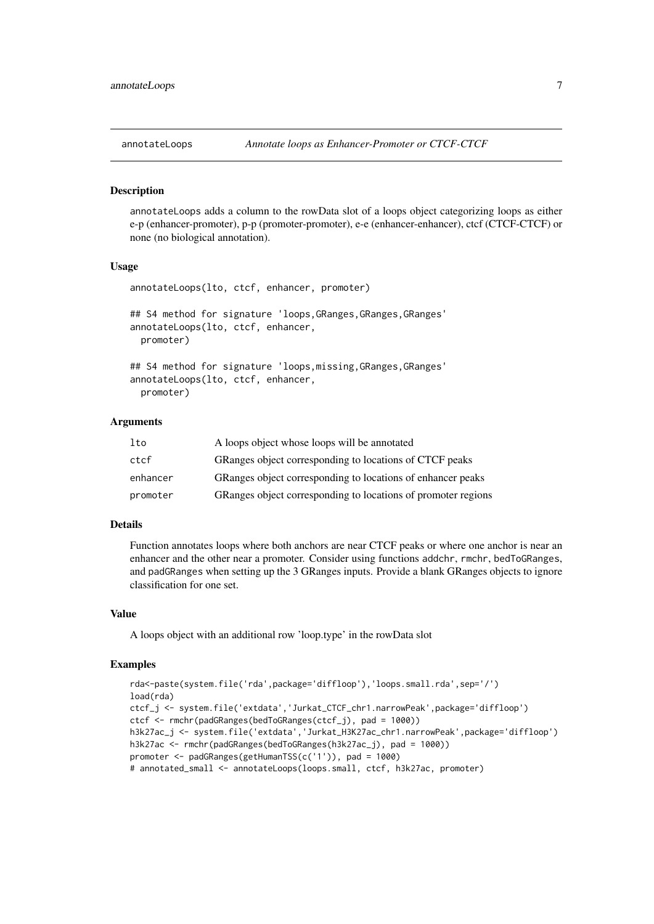<span id="page-6-0"></span>

annotateLoops adds a column to the rowData slot of a loops object categorizing loops as either e-p (enhancer-promoter), p-p (promoter-promoter), e-e (enhancer-enhancer), ctcf (CTCF-CTCF) or none (no biological annotation).

#### Usage

```
annotateLoops(lto, ctcf, enhancer, promoter)
## S4 method for signature 'loops, GRanges, GRanges, GRanges'
annotateLoops(lto, ctcf, enhancer,
 promoter)
## S4 method for signature 'loops, missing, GRanges, GRanges'
annotateLoops(lto, ctcf, enhancer,
 promoter)
```
## Arguments

| lto      | A loops object whose loops will be annotated                  |
|----------|---------------------------------------------------------------|
| ctcf     | GRanges object corresponding to locations of CTCF peaks       |
| enhancer | GRanges object corresponding to locations of enhancer peaks   |
| promoter | GRanges object corresponding to locations of promoter regions |

## Details

Function annotates loops where both anchors are near CTCF peaks or where one anchor is near an enhancer and the other near a promoter. Consider using functions addchr, rmchr, bedToGRanges, and padGRanges when setting up the 3 GRanges inputs. Provide a blank GRanges objects to ignore classification for one set.

## Value

A loops object with an additional row 'loop.type' in the rowData slot

```
rda<-paste(system.file('rda',package='diffloop'),'loops.small.rda',sep='/')
load(rda)
ctcf_j <- system.file('extdata','Jurkat_CTCF_chr1.narrowPeak',package='diffloop')
ctcf <- rmchr(padGRanges(bedToGRanges(ctcf_j), pad = 1000))
h3k27ac_j <- system.file('extdata','Jurkat_H3K27ac_chr1.narrowPeak',package='diffloop')
h3k27ac <- rmchr(padGRanges(bedToGRanges(h3k27ac_j), pad = 1000))
promoter <- padGRanges(getHumanTSS(c('1')), pad = 1000)
# annotated_small <- annotateLoops(loops.small, ctcf, h3k27ac, promoter)
```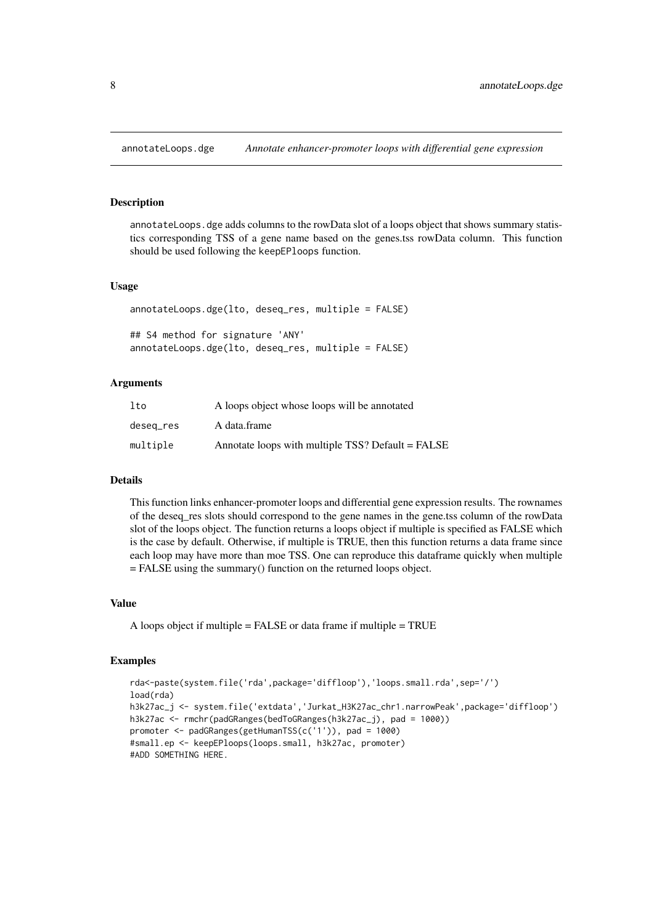<span id="page-7-0"></span>

annotateLoops.dge adds columns to the rowData slot of a loops object that shows summary statistics corresponding TSS of a gene name based on the genes.tss rowData column. This function should be used following the keepEPloops function.

#### Usage

```
annotateLoops.dge(lto, deseq_res, multiple = FALSE)
## S4 method for signature 'ANY'
annotateLoops.dge(lto, deseq_res, multiple = FALSE)
```
## Arguments

| lto       | A loops object whose loops will be annotated      |
|-----------|---------------------------------------------------|
| deseg_res | A data.frame                                      |
| multiple  | Annotate loops with multiple TSS? Default = FALSE |

#### Details

This function links enhancer-promoter loops and differential gene expression results. The rownames of the deseq\_res slots should correspond to the gene names in the gene.tss column of the rowData slot of the loops object. The function returns a loops object if multiple is specified as FALSE which is the case by default. Otherwise, if multiple is TRUE, then this function returns a data frame since each loop may have more than moe TSS. One can reproduce this dataframe quickly when multiple = FALSE using the summary() function on the returned loops object.

#### Value

```
A loops object if multiple = FALSE or data frame if multiple = TRUE
```

```
rda<-paste(system.file('rda',package='diffloop'),'loops.small.rda',sep='/')
load(rda)
h3k27ac_j <- system.file('extdata','Jurkat_H3K27ac_chr1.narrowPeak',package='diffloop')
h3k27ac <- rmchr(padGRanges(bedToGRanges(h3k27ac_j), pad = 1000))
promoter <- padGRanges(getHumanTSS(c('1')), pad = 1000)
#small.ep <- keepEPloops(loops.small, h3k27ac, promoter)
#ADD SOMETHING HERE.
```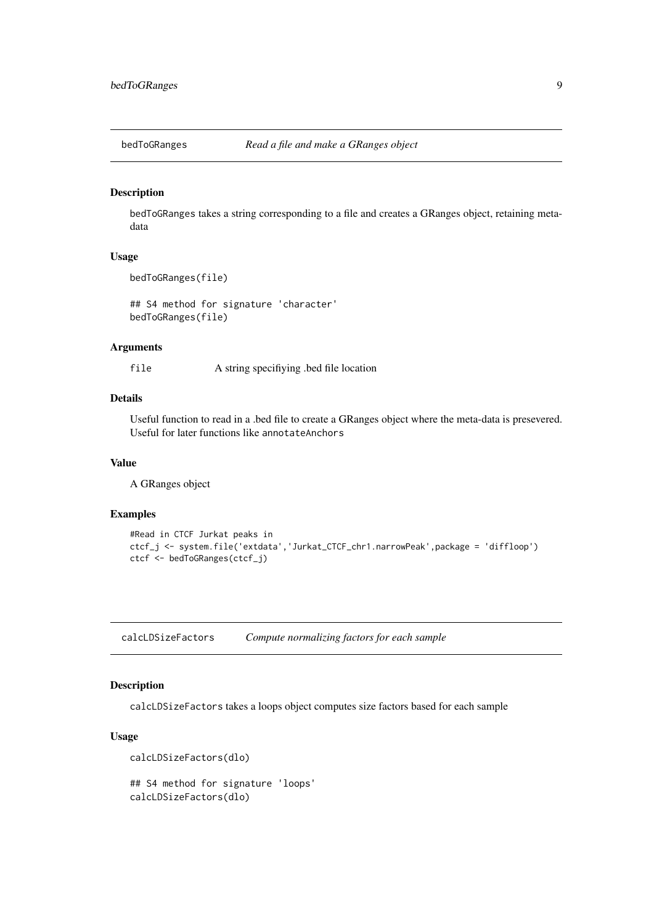<span id="page-8-0"></span>

bedToGRanges takes a string corresponding to a file and creates a GRanges object, retaining metadata

## Usage

```
bedToGRanges(file)
```
## S4 method for signature 'character' bedToGRanges(file)

#### Arguments

file A string specifiying .bed file location

## Details

Useful function to read in a .bed file to create a GRanges object where the meta-data is presevered. Useful for later functions like annotateAnchors

## Value

A GRanges object

## Examples

```
#Read in CTCF Jurkat peaks in
ctcf_j <- system.file('extdata','Jurkat_CTCF_chr1.narrowPeak',package = 'diffloop')
ctcf <- bedToGRanges(ctcf_j)
```
calcLDSizeFactors *Compute normalizing factors for each sample*

## Description

calcLDSizeFactors takes a loops object computes size factors based for each sample

## Usage

```
calcLDSizeFactors(dlo)
```

```
## S4 method for signature 'loops'
calcLDSizeFactors(dlo)
```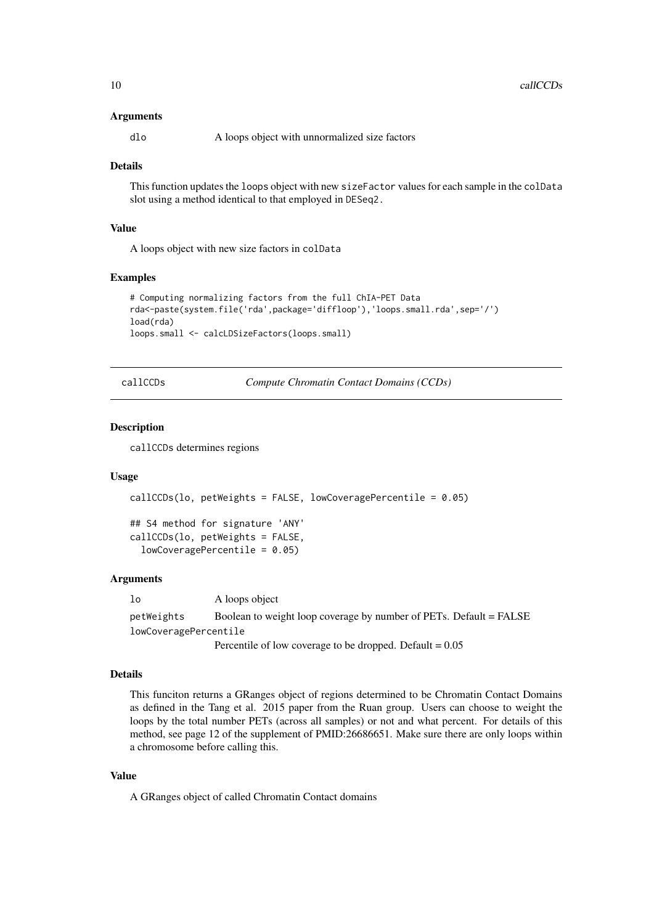#### <span id="page-9-0"></span>Arguments

dlo A loops object with unnormalized size factors

#### Details

This function updates the loops object with new sizeFactor values for each sample in the colData slot using a method identical to that employed in DESeq2.

## Value

A loops object with new size factors in colData

#### Examples

```
# Computing normalizing factors from the full ChIA-PET Data
rda<-paste(system.file('rda',package='diffloop'),'loops.small.rda',sep='/')
load(rda)
loops.small <- calcLDSizeFactors(loops.small)
```
callCCDs *Compute Chromatin Contact Domains (CCDs)*

#### Description

callCCDs determines regions

#### Usage

```
callCCDs(lo, petWeights = FALSE, lowCoveragePercentile = 0.05)
```
## S4 method for signature 'ANY' callCCDs(lo, petWeights = FALSE, lowCoveragePercentile = 0.05)

#### Arguments

lo A loops object petWeights Boolean to weight loop coverage by number of PETs. Default = FALSE lowCoveragePercentile

Percentile of low coverage to be dropped. Default  $= 0.05$ 

### Details

This funciton returns a GRanges object of regions determined to be Chromatin Contact Domains as defined in the Tang et al. 2015 paper from the Ruan group. Users can choose to weight the loops by the total number PETs (across all samples) or not and what percent. For details of this method, see page 12 of the supplement of PMID:26686651. Make sure there are only loops within a chromosome before calling this.

## Value

A GRanges object of called Chromatin Contact domains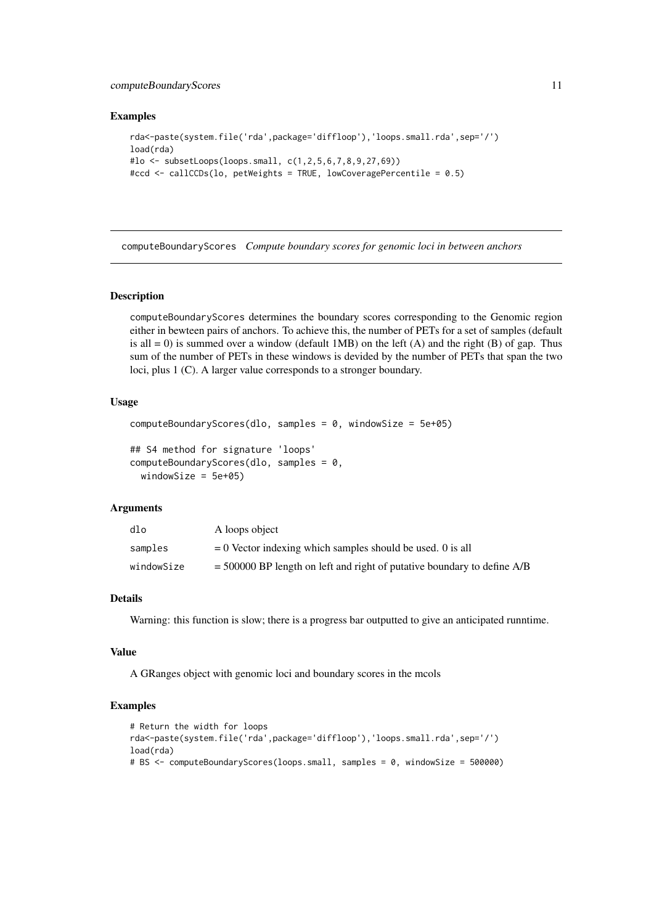#### <span id="page-10-0"></span>computeBoundaryScores 11

#### Examples

```
rda<-paste(system.file('rda',package='diffloop'),'loops.small.rda',sep='/')
load(rda)
#lo <- subsetLoops(loops.small, c(1,2,5,6,7,8,9,27,69))
#ccd <- callCCDs(lo, petWeights = TRUE, lowCoveragePercentile = 0.5)
```
computeBoundaryScores *Compute boundary scores for genomic loci in between anchors*

## Description

computeBoundaryScores determines the boundary scores corresponding to the Genomic region either in bewteen pairs of anchors. To achieve this, the number of PETs for a set of samples (default is all  $= 0$ ) is summed over a window (default 1MB) on the left (A) and the right (B) of gap. Thus sum of the number of PETs in these windows is devided by the number of PETs that span the two loci, plus 1 (C). A larger value corresponds to a stronger boundary.

#### Usage

```
computeBoundaryScores(dlo, samples = 0, windowSize = 5e+05)
## S4 method for signature 'loops'
computeBoundaryScores(dlo, samples = 0,
 windowSize = 5e+05)
```
#### Arguments

| dlo        | A loops object                                                            |
|------------|---------------------------------------------------------------------------|
| samples    | $= 0$ Vector indexing which samples should be used. 0 is all              |
| windowSize | $=$ 500000 BP length on left and right of putative boundary to define A/B |

## Details

Warning: this function is slow; there is a progress bar outputted to give an anticipated runntime.

#### Value

A GRanges object with genomic loci and boundary scores in the mcols

```
# Return the width for loops
rda<-paste(system.file('rda',package='diffloop'),'loops.small.rda',sep='/')
load(rda)
# BS <- computeBoundaryScores(loops.small, samples = 0, windowSize = 500000)
```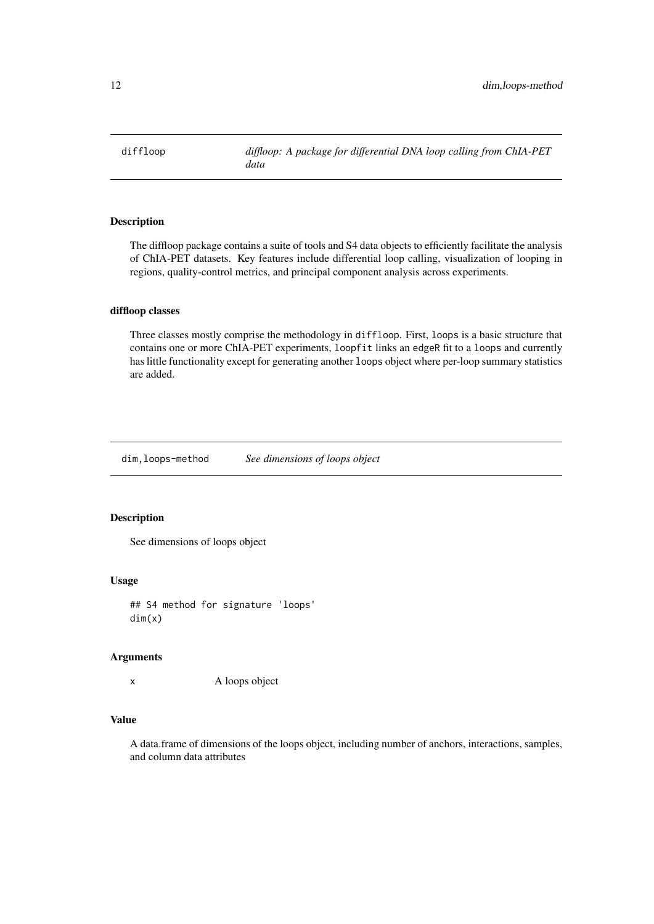<span id="page-11-0"></span>diffloop *diffloop: A package for differential DNA loop calling from ChIA-PET data*

## Description

The diffloop package contains a suite of tools and S4 data objects to efficiently facilitate the analysis of ChIA-PET datasets. Key features include differential loop calling, visualization of looping in regions, quality-control metrics, and principal component analysis across experiments.

#### diffloop classes

Three classes mostly comprise the methodology in diffloop. First, loops is a basic structure that contains one or more ChIA-PET experiments, loopfit links an edgeR fit to a loops and currently has little functionality except for generating another loops object where per-loop summary statistics are added.

dim,loops-method *See dimensions of loops object*

## Description

See dimensions of loops object

#### Usage

## S4 method for signature 'loops' dim(x)

## Arguments

x A loops object

## Value

A data.frame of dimensions of the loops object, including number of anchors, interactions, samples, and column data attributes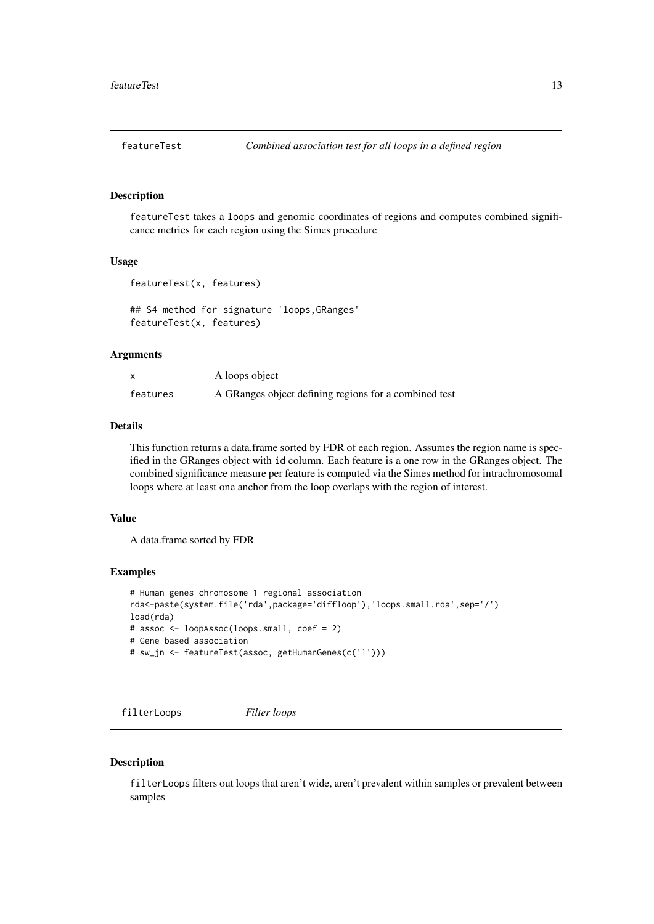<span id="page-12-0"></span>

featureTest takes a loops and genomic coordinates of regions and computes combined significance metrics for each region using the Simes procedure

#### Usage

```
featureTest(x, features)
```
## S4 method for signature 'loops,GRanges' featureTest(x, features)

#### Arguments

|          | A loops object                                        |
|----------|-------------------------------------------------------|
| features | A GRanges object defining regions for a combined test |

## Details

This function returns a data.frame sorted by FDR of each region. Assumes the region name is specified in the GRanges object with id column. Each feature is a one row in the GRanges object. The combined significance measure per feature is computed via the Simes method for intrachromosomal loops where at least one anchor from the loop overlaps with the region of interest.

## Value

A data.frame sorted by FDR

#### Examples

```
# Human genes chromosome 1 regional association
rda<-paste(system.file('rda',package='diffloop'),'loops.small.rda',sep='/')
load(rda)
# assoc <- loopAssoc(loops.small, coef = 2)
# Gene based association
# sw_jn <- featureTest(assoc, getHumanGenes(c('1')))
```
filterLoops *Filter loops*

#### Description

filterLoops filters out loops that aren't wide, aren't prevalent within samples or prevalent between samples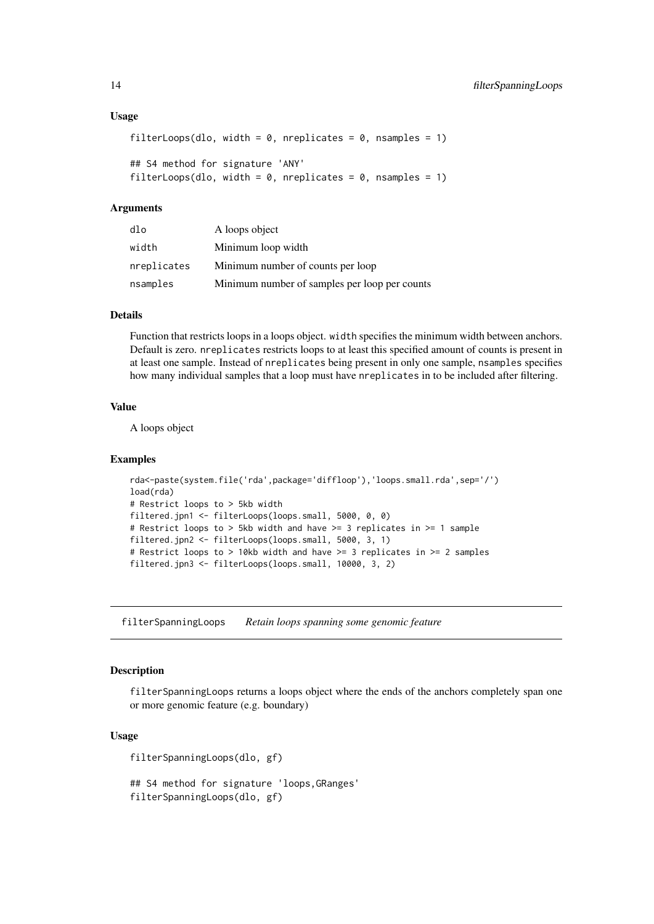#### Usage

```
filterLoops(dlo, width = 0, nreplicates = 0, nsamples = 1)
## S4 method for signature 'ANY'
filterLoops(dlo, width = 0, nreplicates = 0, nsamples = 1)
```
#### Arguments

| dlo         | A loops object                                |
|-------------|-----------------------------------------------|
| width       | Minimum loop width                            |
| nreplicates | Minimum number of counts per loop             |
| nsamples    | Minimum number of samples per loop per counts |

## Details

Function that restricts loops in a loops object. width specifies the minimum width between anchors. Default is zero. nreplicates restricts loops to at least this specified amount of counts is present in at least one sample. Instead of nreplicates being present in only one sample, nsamples specifies how many individual samples that a loop must have nreplicates in to be included after filtering.

## Value

A loops object

#### Examples

```
rda<-paste(system.file('rda',package='diffloop'),'loops.small.rda',sep='/')
load(rda)
# Restrict loops to > 5kb width
filtered.jpn1 <- filterLoops(loops.small, 5000, 0, 0)
# Restrict loops to > 5kb width and have >= 3 replicates in >= 1 sample
filtered.jpn2 <- filterLoops(loops.small, 5000, 3, 1)
# Restrict loops to > 10kb width and have >= 3 replicates in >= 2 samples
filtered.jpn3 <- filterLoops(loops.small, 10000, 3, 2)
```
filterSpanningLoops *Retain loops spanning some genomic feature*

#### Description

filterSpanningLoops returns a loops object where the ends of the anchors completely span one or more genomic feature (e.g. boundary)

## Usage

filterSpanningLoops(dlo, gf)

## S4 method for signature 'loops,GRanges' filterSpanningLoops(dlo, gf)

<span id="page-13-0"></span>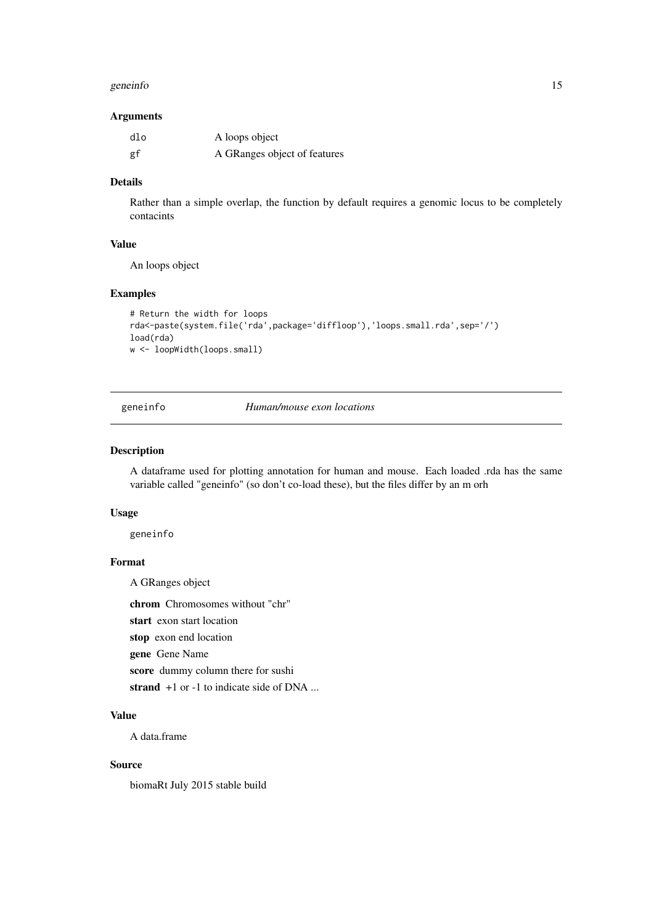#### <span id="page-14-0"></span>geneinfo and the set of the set of the set of the set of the set of the set of the set of the set of the set of the set of the set of the set of the set of the set of the set of the set of the set of the set of the set of

## Arguments

| dlo | A loops object               |
|-----|------------------------------|
| gf  | A GRanges object of features |

## Details

Rather than a simple overlap, the function by default requires a genomic locus to be completely contacints

## Value

An loops object

## Examples

```
# Return the width for loops
rda<-paste(system.file('rda',package='diffloop'),'loops.small.rda',sep='/')
load(rda)
w <- loopWidth(loops.small)
```
geneinfo *Human/mouse exon locations*

## Description

A dataframe used for plotting annotation for human and mouse. Each loaded .rda has the same variable called "geneinfo" (so don't co-load these), but the files differ by an m orh

## Usage

geneinfo

## Format

A GRanges object

chrom Chromosomes without "chr"

start exon start location

stop exon end location

gene Gene Name

score dummy column there for sushi

strand  $+1$  or  $-1$  to indicate side of DNA ...

## Value

A data.frame

## Source

biomaRt July 2015 stable build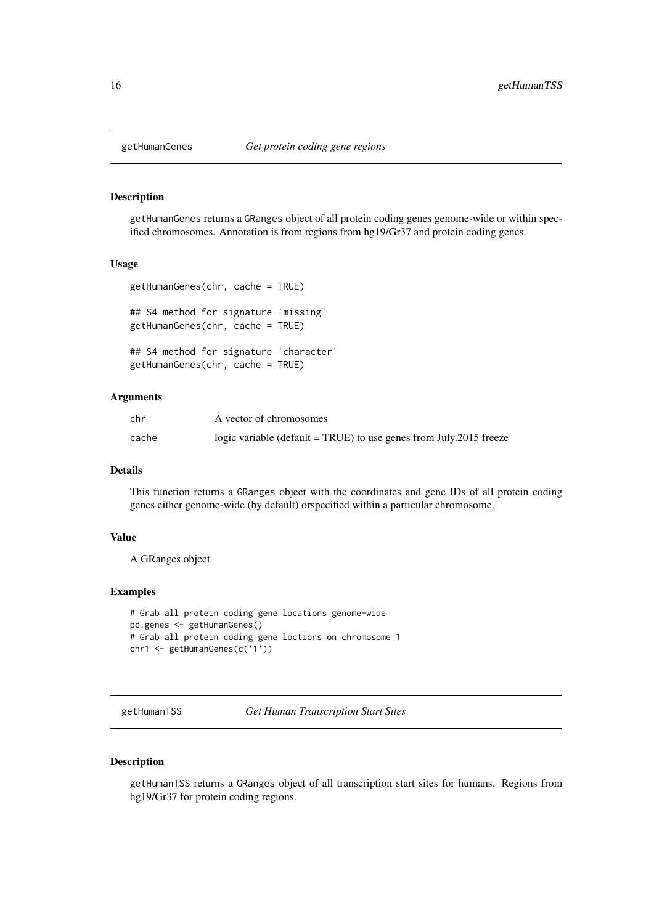<span id="page-15-0"></span>

getHumanGenes returns a GRanges object of all protein coding genes genome-wide or within specified chromosomes. Annotation is from regions from hg19/Gr37 and protein coding genes.

#### Usage

```
getHumanGenes(chr, cache = TRUE)
## S4 method for signature 'missing'
getHumanGenes(chr, cache = TRUE)
## S4 method for signature 'character'
getHumanGenes(chr, cache = TRUE)
```
#### Arguments

| chr   | A vector of chromosomes                                            |
|-------|--------------------------------------------------------------------|
| cache | logic variable (default = TRUE) to use genes from July.2015 freeze |

#### Details

This function returns a GRanges object with the coordinates and gene IDs of all protein coding genes either genome-wide (by default) orspecified within a particular chromosome.

## Value

A GRanges object

#### Examples

```
# Grab all protein coding gene locations genome-wide
pc.genes <- getHumanGenes()
# Grab all protein coding gene loctions on chromosome 1
chr1 <- getHumanGenes(c('1'))
```
getHumanTSS *Get Human Transcription Start Sites*

## Description

getHumanTSS returns a GRanges object of all transcription start sites for humans. Regions from hg19/Gr37 for protein coding regions.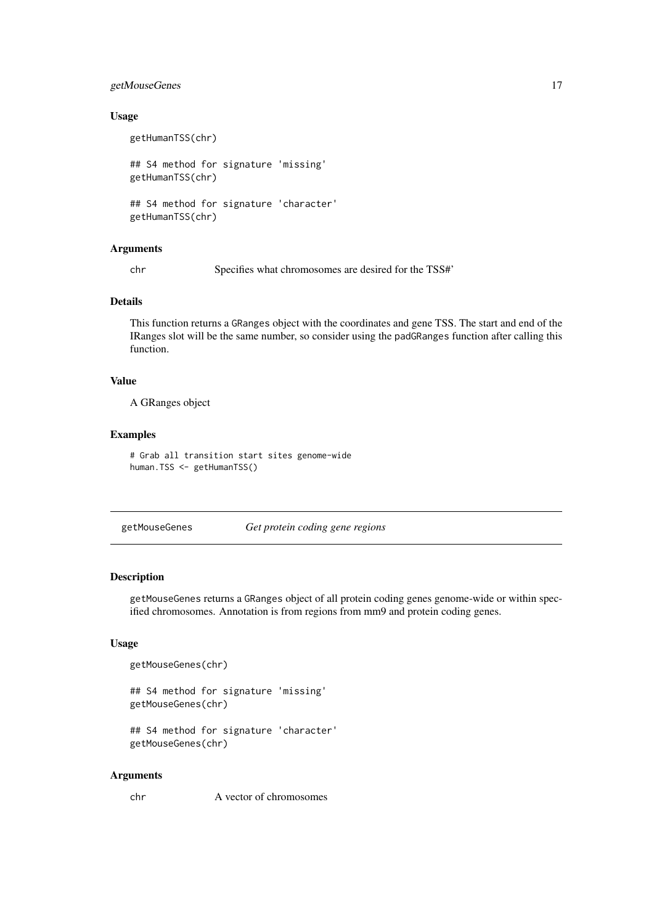#### <span id="page-16-0"></span>getMouseGenes 17

#### Usage

```
getHumanTSS(chr)
## S4 method for signature 'missing'
getHumanTSS(chr)
## S4 method for signature 'character'
getHumanTSS(chr)
```
## Arguments

chr Specifies what chromosomes are desired for the TSS#'

#### Details

This function returns a GRanges object with the coordinates and gene TSS. The start and end of the IRanges slot will be the same number, so consider using the padGRanges function after calling this function.

## Value

A GRanges object

#### Examples

```
# Grab all transition start sites genome-wide
human.TSS <- getHumanTSS()
```
getMouseGenes *Get protein coding gene regions*

#### Description

getMouseGenes returns a GRanges object of all protein coding genes genome-wide or within specified chromosomes. Annotation is from regions from mm9 and protein coding genes.

## Usage

```
getMouseGenes(chr)
```

```
## S4 method for signature 'missing'
getMouseGenes(chr)
```

```
## S4 method for signature 'character'
getMouseGenes(chr)
```
## Arguments

chr A vector of chromosomes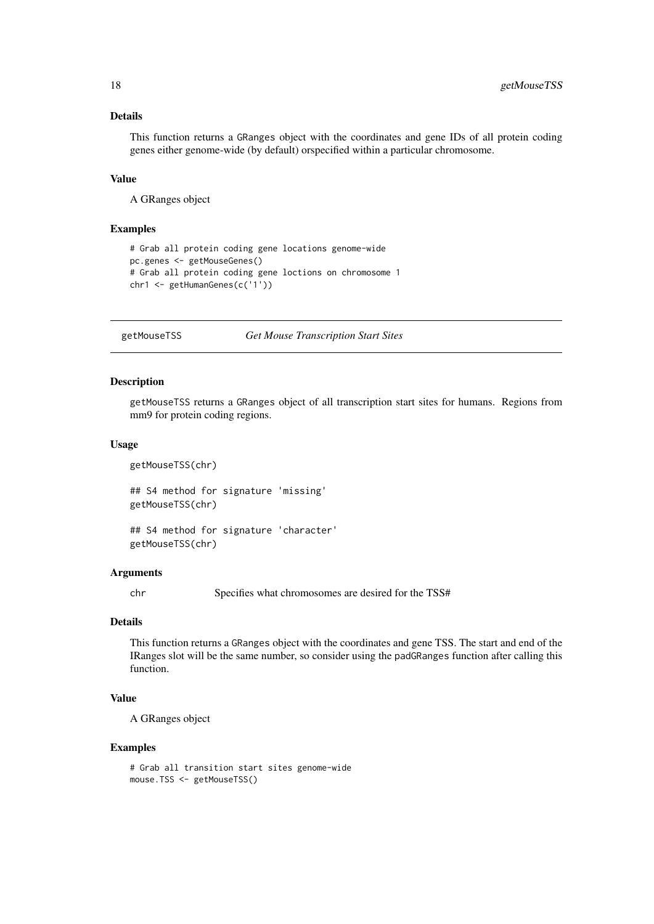## Details

This function returns a GRanges object with the coordinates and gene IDs of all protein coding genes either genome-wide (by default) orspecified within a particular chromosome.

## Value

A GRanges object

## Examples

```
# Grab all protein coding gene locations genome-wide
pc.genes <- getMouseGenes()
# Grab all protein coding gene loctions on chromosome 1
chr1 <- getHumanGenes(c('1'))
```
getMouseTSS *Get Mouse Transcription Start Sites*

## Description

getMouseTSS returns a GRanges object of all transcription start sites for humans. Regions from mm9 for protein coding regions.

#### Usage

getMouseTSS(chr)

## S4 method for signature 'missing' getMouseTSS(chr)

## S4 method for signature 'character' getMouseTSS(chr)

#### Arguments

chr Specifies what chromosomes are desired for the TSS#

## Details

This function returns a GRanges object with the coordinates and gene TSS. The start and end of the IRanges slot will be the same number, so consider using the padGRanges function after calling this function.

#### Value

A GRanges object

```
# Grab all transition start sites genome-wide
mouse.TSS <- getMouseTSS()
```
<span id="page-17-0"></span>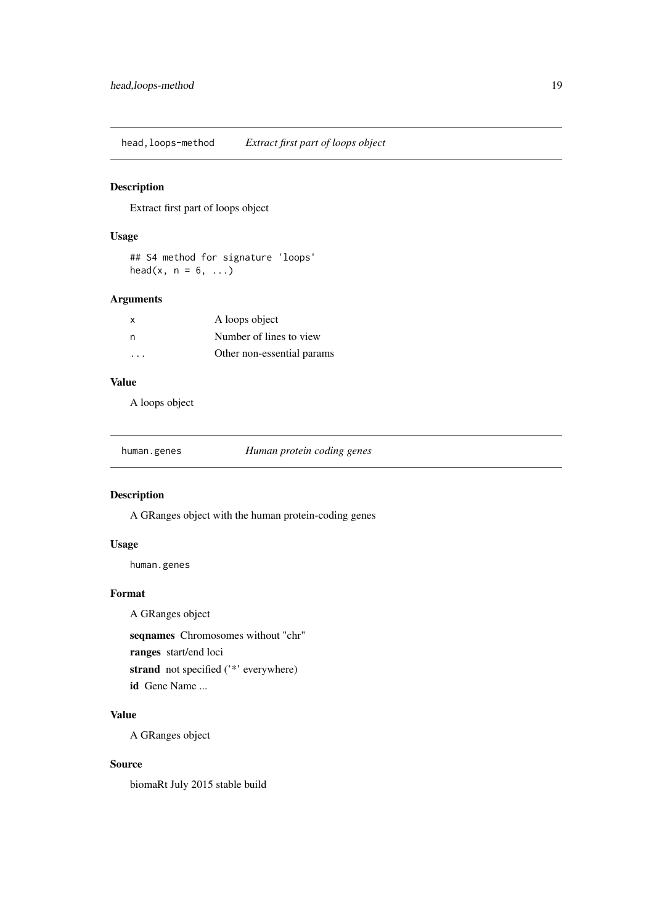<span id="page-18-0"></span>head,loops-method *Extract first part of loops object*

## Description

Extract first part of loops object

## Usage

```
## S4 method for signature 'loops'
head(x, n = 6, ...)
```
## Arguments

| X        | A loops object             |
|----------|----------------------------|
| n,       | Number of lines to view    |
| $\cdots$ | Other non-essential params |

## Value

A loops object

| human.genes | Human protein coding genes |
|-------------|----------------------------|
|             |                            |

## Description

A GRanges object with the human protein-coding genes

## Usage

human.genes

## Format

A GRanges object

seqnames Chromosomes without "chr"

ranges start/end loci

strand not specified ('\*' everywhere)

id Gene Name ...

## Value

A GRanges object

## Source

biomaRt July 2015 stable build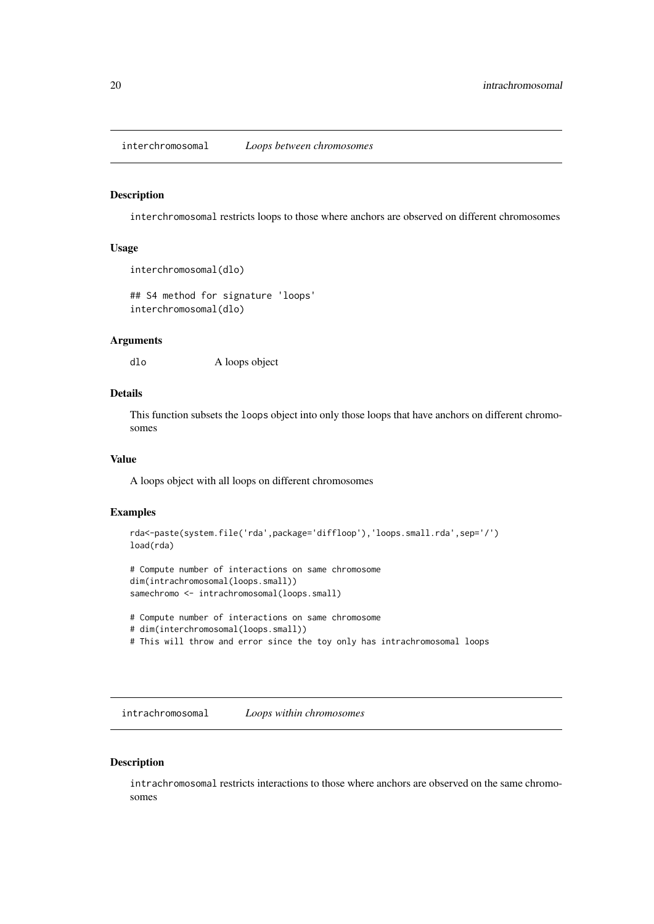<span id="page-19-0"></span>interchromosomal *Loops between chromosomes*

#### Description

interchromosomal restricts loops to those where anchors are observed on different chromosomes

## Usage

```
interchromosomal(dlo)
```
## S4 method for signature 'loops' interchromosomal(dlo)

#### Arguments

dlo A loops object

## Details

This function subsets the loops object into only those loops that have anchors on different chromosomes

## Value

A loops object with all loops on different chromosomes

## Examples

```
rda<-paste(system.file('rda',package='diffloop'),'loops.small.rda',sep='/')
load(rda)
```

```
# Compute number of interactions on same chromosome
dim(intrachromosomal(loops.small))
samechromo <- intrachromosomal(loops.small)
```

```
# Compute number of interactions on same chromosome
# dim(interchromosomal(loops.small))
# This will throw and error since the toy only has intrachromosomal loops
```
intrachromosomal *Loops within chromosomes*

## Description

intrachromosomal restricts interactions to those where anchors are observed on the same chromosomes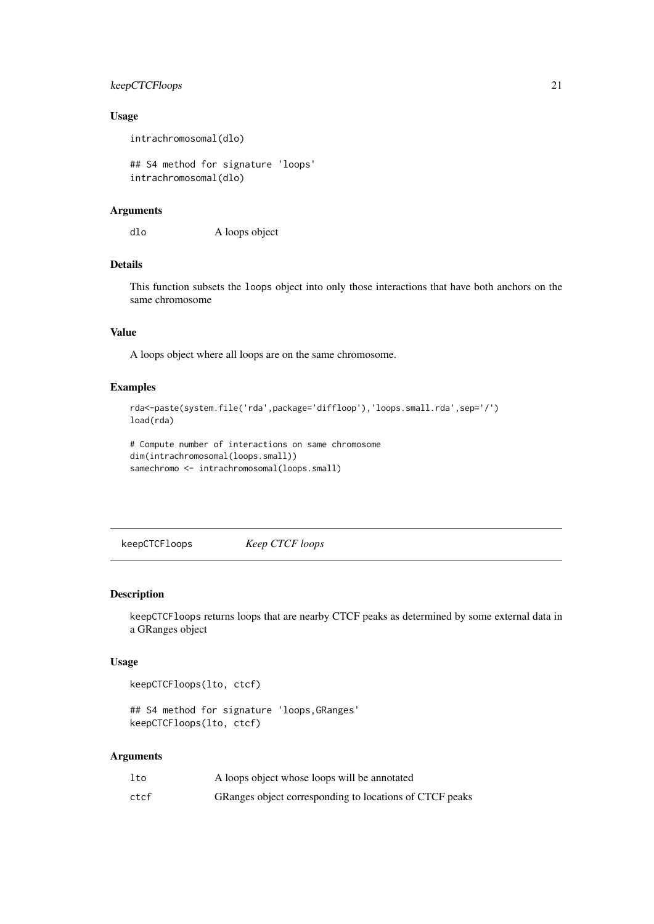#### <span id="page-20-0"></span>keepCTCFloops 21

## Usage

intrachromosomal(dlo)

## S4 method for signature 'loops' intrachromosomal(dlo)

## Arguments

dlo A loops object

## Details

This function subsets the loops object into only those interactions that have both anchors on the same chromosome

## Value

A loops object where all loops are on the same chromosome.

#### Examples

```
rda<-paste(system.file('rda',package='diffloop'),'loops.small.rda',sep='/')
load(rda)
```

```
# Compute number of interactions on same chromosome
dim(intrachromosomal(loops.small))
samechromo <- intrachromosomal(loops.small)
```
keepCTCFloops *Keep CTCF loops*

#### Description

keepCTCFloops returns loops that are nearby CTCF peaks as determined by some external data in a GRanges object

#### Usage

```
keepCTCFloops(lto, ctcf)
```
## S4 method for signature 'loops,GRanges' keepCTCFloops(lto, ctcf)

## Arguments

| lto  | A loops object whose loops will be annotated            |
|------|---------------------------------------------------------|
| ctcf | GRanges object corresponding to locations of CTCF peaks |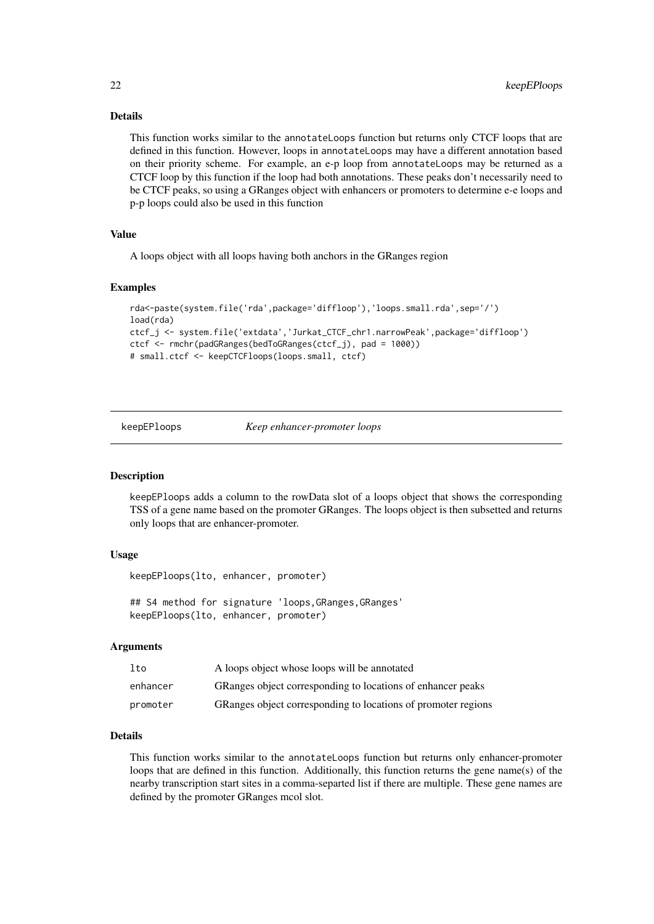#### <span id="page-21-0"></span>Details

This function works similar to the annotateLoops function but returns only CTCF loops that are defined in this function. However, loops in annotateLoops may have a different annotation based on their priority scheme. For example, an e-p loop from annotateLoops may be returned as a CTCF loop by this function if the loop had both annotations. These peaks don't necessarily need to be CTCF peaks, so using a GRanges object with enhancers or promoters to determine e-e loops and p-p loops could also be used in this function

## Value

A loops object with all loops having both anchors in the GRanges region

#### Examples

```
rda<-paste(system.file('rda',package='diffloop'),'loops.small.rda',sep='/')
load(rda)
ctcf_j <- system.file('extdata','Jurkat_CTCF_chr1.narrowPeak',package='diffloop')
ctcf <- rmchr(padGRanges(bedToGRanges(ctcf_j), pad = 1000))
# small.ctcf <- keepCTCFloops(loops.small, ctcf)
```
keepEPloops *Keep enhancer-promoter loops*

## Description

keepEPloops adds a column to the rowData slot of a loops object that shows the corresponding TSS of a gene name based on the promoter GRanges. The loops object is then subsetted and returns only loops that are enhancer-promoter.

## Usage

keepEPloops(lto, enhancer, promoter)

## S4 method for signature 'loops, GRanges, GRanges' keepEPloops(lto, enhancer, promoter)

### Arguments

| lto      | A loops object whose loops will be annotated                  |
|----------|---------------------------------------------------------------|
| enhancer | GRanges object corresponding to locations of enhancer peaks   |
| promoter | GRanges object corresponding to locations of promoter regions |

#### Details

This function works similar to the annotateLoops function but returns only enhancer-promoter loops that are defined in this function. Additionally, this function returns the gene name(s) of the nearby transcription start sites in a comma-separted list if there are multiple. These gene names are defined by the promoter GRanges mcol slot.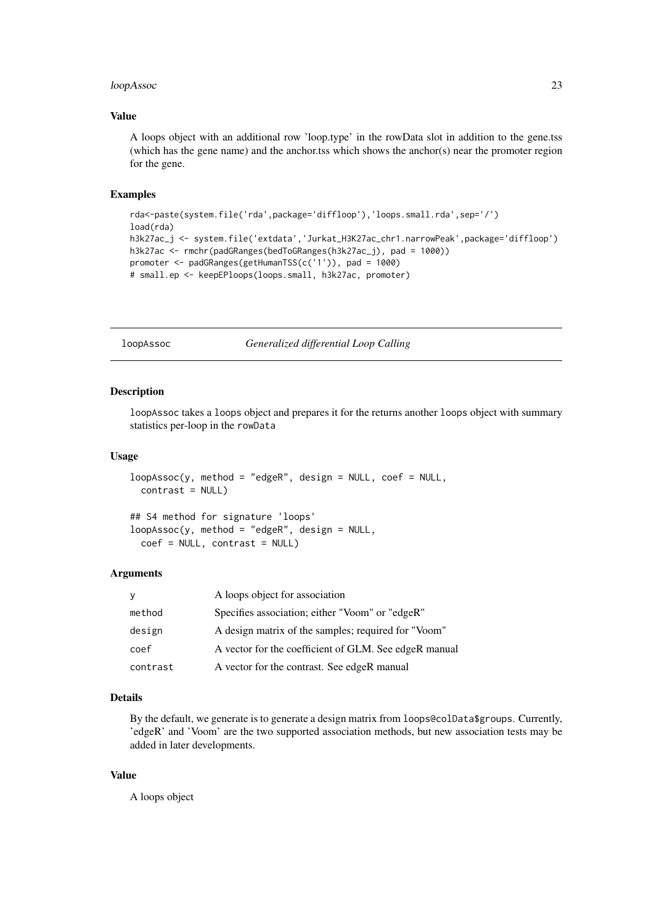#### <span id="page-22-0"></span>loopAssoc 23

#### Value

A loops object with an additional row 'loop.type' in the rowData slot in addition to the gene.tss (which has the gene name) and the anchor.tss which shows the anchor(s) near the promoter region for the gene.

#### Examples

```
rda<-paste(system.file('rda',package='diffloop'),'loops.small.rda',sep='/')
load(rda)
h3k27ac_j <- system.file('extdata','Jurkat_H3K27ac_chr1.narrowPeak',package='diffloop')
h3k27ac <- rmchr(padGRanges(bedToGRanges(h3k27ac_j), pad = 1000))
promoter <- padGRanges(getHumanTSS(c('1')), pad = 1000)
# small.ep <- keepEPloops(loops.small, h3k27ac, promoter)
```
loopAssoc *Generalized differential Loop Calling*

#### Description

loopAssoc takes a loops object and prepares it for the returns another loops object with summary statistics per-loop in the rowData

## Usage

```
loopAssoc(y, method = "edge", design = NULL, coef = NULL,
 contrast = NULL)
```
## S4 method for signature 'loops'  $loopAssoc(y, method = "edgeR", design = NULL,$ coef = NULL, contrast = NULL)

## Arguments

| y        | A loops object for association                        |
|----------|-------------------------------------------------------|
| method   | Specifies association; either "Voom" or "edgeR"       |
| design   | A design matrix of the samples; required for "Voom"   |
| coef     | A vector for the coefficient of GLM. See edgeR manual |
| contrast | A vector for the contrast. See edgeR manual           |

## Details

By the default, we generate is to generate a design matrix from loops@colData\$groups. Currently, 'edgeR' and 'Voom' are the two supported association methods, but new association tests may be added in later developments.

## Value

A loops object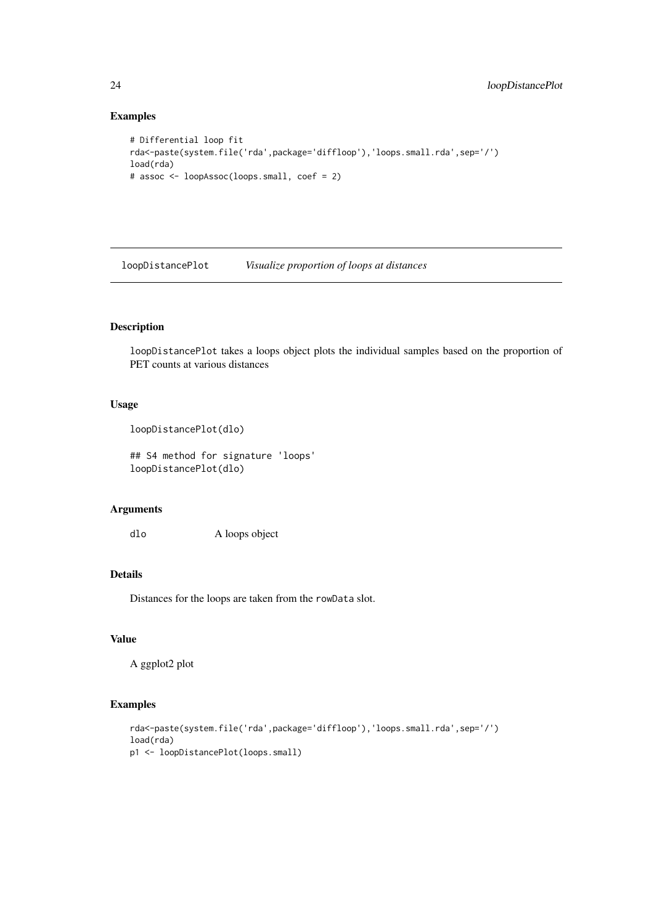## Examples

```
# Differential loop fit
rda<-paste(system.file('rda',package='diffloop'),'loops.small.rda',sep='/')
load(rda)
# assoc <- loopAssoc(loops.small, coef = 2)
```
loopDistancePlot *Visualize proportion of loops at distances*

#### Description

loopDistancePlot takes a loops object plots the individual samples based on the proportion of PET counts at various distances

## Usage

```
loopDistancePlot(dlo)
```
## S4 method for signature 'loops' loopDistancePlot(dlo)

## Arguments

dlo A loops object

## Details

Distances for the loops are taken from the rowData slot.

## Value

A ggplot2 plot

```
rda<-paste(system.file('rda',package='diffloop'),'loops.small.rda',sep='/')
load(rda)
p1 <- loopDistancePlot(loops.small)
```
<span id="page-23-0"></span>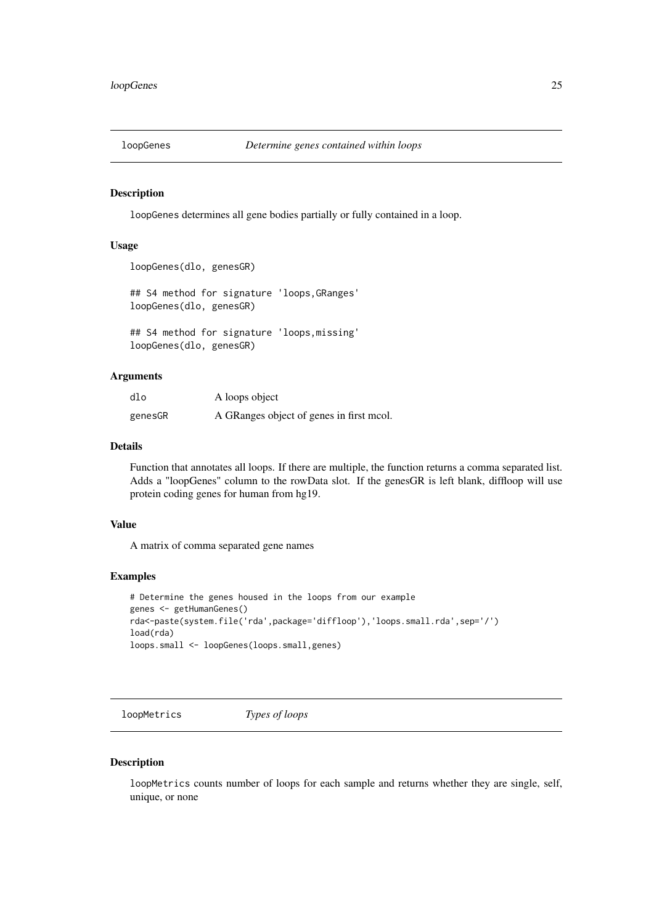<span id="page-24-0"></span>

loopGenes determines all gene bodies partially or fully contained in a loop.

## Usage

```
loopGenes(dlo, genesGR)
```
## S4 method for signature 'loops,GRanges' loopGenes(dlo, genesGR)

## S4 method for signature 'loops,missing' loopGenes(dlo, genesGR)

#### Arguments

| dlo     | A loops object                           |
|---------|------------------------------------------|
| genesGR | A GRanges object of genes in first mcol. |

#### Details

Function that annotates all loops. If there are multiple, the function returns a comma separated list. Adds a "loopGenes" column to the rowData slot. If the genesGR is left blank, diffloop will use protein coding genes for human from hg19.

## Value

A matrix of comma separated gene names

#### Examples

```
# Determine the genes housed in the loops from our example
genes <- getHumanGenes()
rda<-paste(system.file('rda',package='diffloop'),'loops.small.rda',sep='/')
load(rda)
loops.small <- loopGenes(loops.small,genes)
```
loopMetrics *Types of loops*

#### Description

loopMetrics counts number of loops for each sample and returns whether they are single, self, unique, or none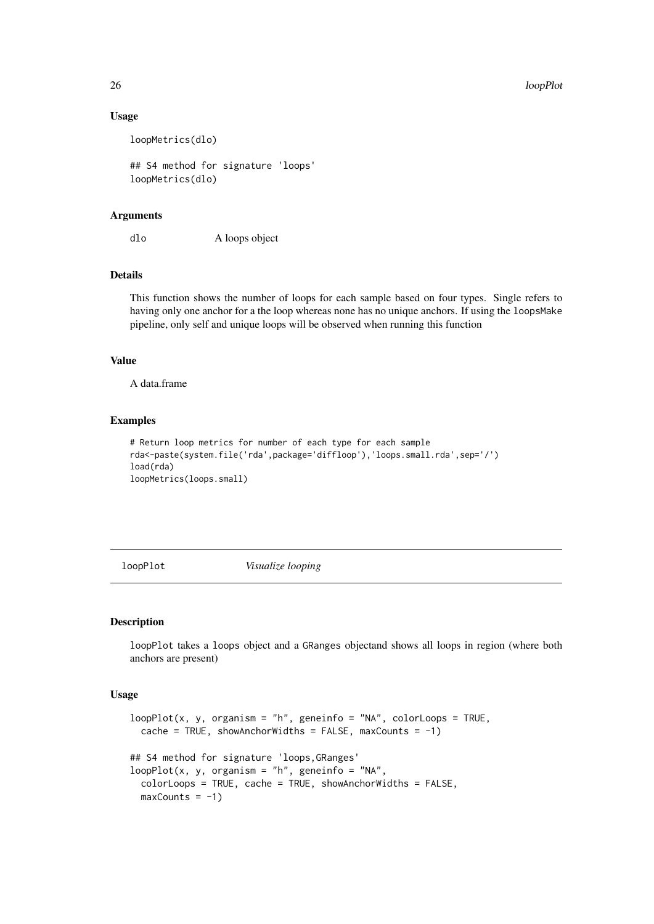26 loopPlot

#### Usage

loopMetrics(dlo)

## S4 method for signature 'loops' loopMetrics(dlo)

#### Arguments

dlo A loops object

## Details

This function shows the number of loops for each sample based on four types. Single refers to having only one anchor for a the loop whereas none has no unique anchors. If using the loops Make pipeline, only self and unique loops will be observed when running this function

## Value

A data.frame

#### Examples

```
# Return loop metrics for number of each type for each sample
rda<-paste(system.file('rda',package='diffloop'),'loops.small.rda',sep='/')
load(rda)
loopMetrics(loops.small)
```
loopPlot *Visualize looping*

## Description

loopPlot takes a loops object and a GRanges objectand shows all loops in region (where both anchors are present)

## Usage

```
loopPlot(x, y, organism = "h", geneinfo = "NA", colorLoops = TRUE,cache = TRUE, showAnchorWidths = FALSE, maxCounts = -1)
## S4 method for signature 'loops,GRanges'
loopPlot(x, y, organism = "h", geneinfo = "NA",
  colorLoops = TRUE, cache = TRUE, showAnchorWidths = FALSE,
 maxCounts = -1)
```
<span id="page-25-0"></span>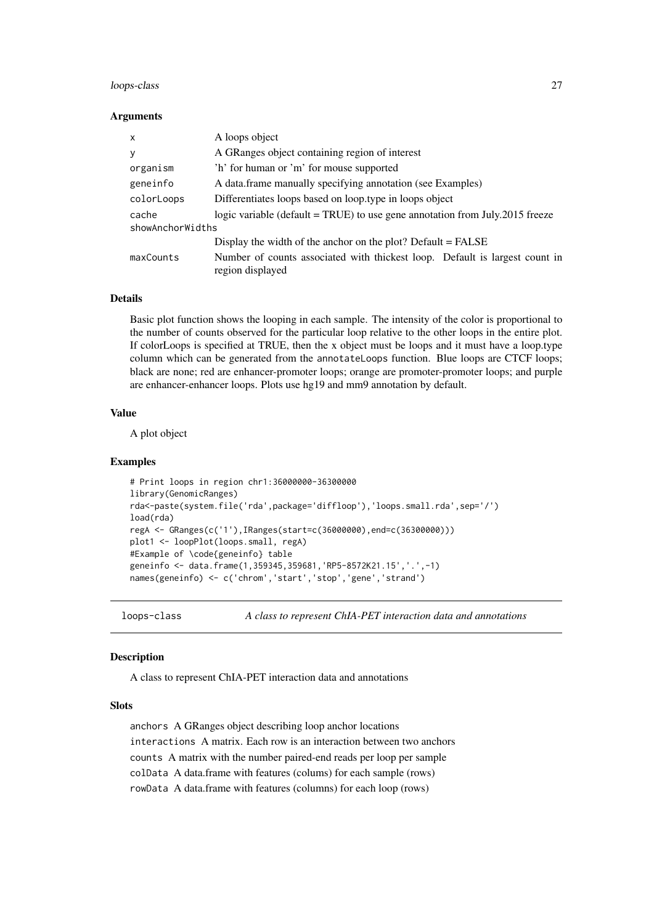#### <span id="page-26-0"></span>loops-class 27

#### Arguments

| X                | A loops object                                                                                  |  |
|------------------|-------------------------------------------------------------------------------------------------|--|
| y                | A GRanges object containing region of interest                                                  |  |
| organism         | 'h' for human or 'm' for mouse supported                                                        |  |
| geneinfo         | A data frame manually specifying annotation (see Examples)                                      |  |
| colorLoops       | Differentiates loops based on loop.type in loops object                                         |  |
| cache            | logic variable (default = TRUE) to use gene annotation from July.2015 freeze                    |  |
| showAnchorWidths |                                                                                                 |  |
|                  | Display the width of the anchor on the plot? Default $=$ FALSE                                  |  |
| maxCounts        | Number of counts associated with thickest loop. Default is largest count in<br>region displayed |  |

#### Details

Basic plot function shows the looping in each sample. The intensity of the color is proportional to the number of counts observed for the particular loop relative to the other loops in the entire plot. If colorLoops is specified at TRUE, then the x object must be loops and it must have a loop.type column which can be generated from the annotateLoops function. Blue loops are CTCF loops; black are none; red are enhancer-promoter loops; orange are promoter-promoter loops; and purple are enhancer-enhancer loops. Plots use hg19 and mm9 annotation by default.

## Value

A plot object

## Examples

```
# Print loops in region chr1:36000000-36300000
library(GenomicRanges)
rda<-paste(system.file('rda',package='diffloop'),'loops.small.rda',sep='/')
load(rda)
regA <- GRanges(c('1'),IRanges(start=c(36000000),end=c(36300000)))
plot1 <- loopPlot(loops.small, regA)
#Example of \code{geneinfo} table
geneinfo <- data.frame(1,359345,359681,'RP5-8572K21.15','.',-1)
names(geneinfo) <- c('chrom','start','stop','gene','strand')
```
loops-class *A class to represent ChIA-PET interaction data and annotations*

#### Description

A class to represent ChIA-PET interaction data and annotations

#### Slots

anchors A GRanges object describing loop anchor locations interactions A matrix. Each row is an interaction between two anchors counts A matrix with the number paired-end reads per loop per sample colData A data.frame with features (colums) for each sample (rows) rowData A data.frame with features (columns) for each loop (rows)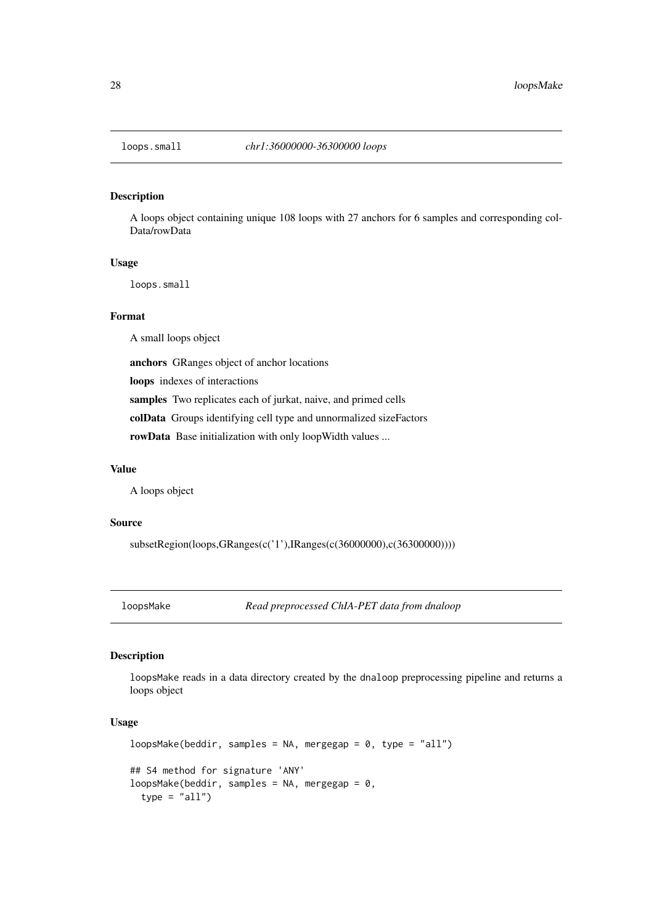<span id="page-27-0"></span>

A loops object containing unique 108 loops with 27 anchors for 6 samples and corresponding col-Data/rowData

## Usage

loops.small

#### Format

A small loops object

anchors GRanges object of anchor locations

loops indexes of interactions

samples Two replicates each of jurkat, naive, and primed cells

colData Groups identifying cell type and unnormalized sizeFactors

rowData Base initialization with only loopWidth values ...

## Value

A loops object

## Source

subsetRegion(loops,GRanges(c('1'),IRanges(c(36000000),c(36300000))))

loopsMake *Read preprocessed ChIA-PET data from dnaloop*

## Description

loopsMake reads in a data directory created by the dnaloop preprocessing pipeline and returns a loops object

## Usage

```
loopsMake(beddir, samples = NA, mergegap = 0, type = "all")
## S4 method for signature 'ANY'
loopsMake(beddir, samples = NA, mergegap = 0,
  type = "all")
```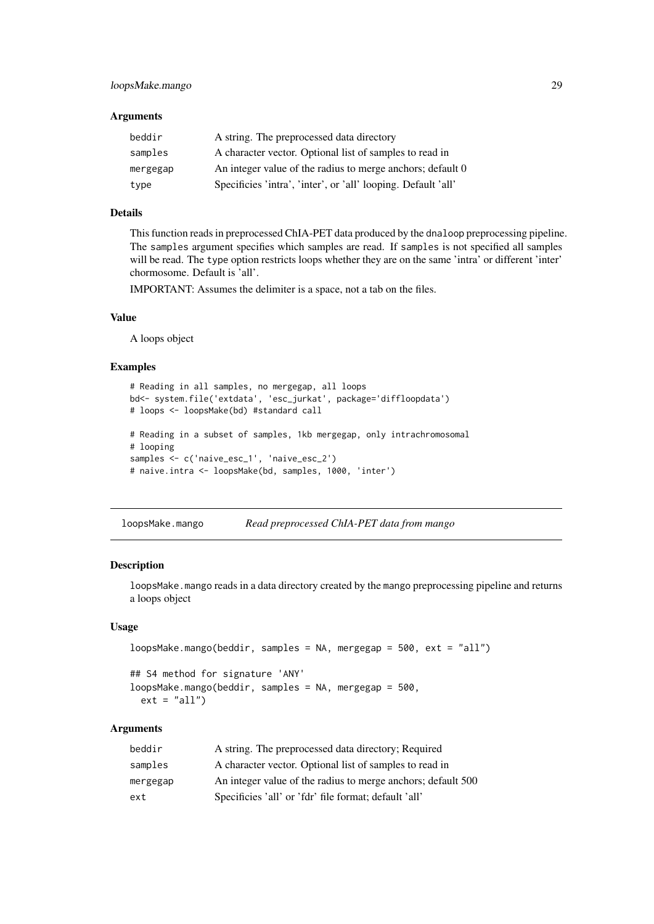## <span id="page-28-0"></span>Arguments

| beddir   | A string. The preprocessed data directory                     |
|----------|---------------------------------------------------------------|
| samples  | A character vector. Optional list of samples to read in       |
| mergegap | An integer value of the radius to merge anchors; default 0    |
| type     | Specificies 'intra', 'inter', or 'all' looping. Default 'all' |

## Details

This function reads in preprocessed ChIA-PET data produced by the dnaloop preprocessing pipeline. The samples argument specifies which samples are read. If samples is not specified all samples will be read. The type option restricts loops whether they are on the same 'intra' or different 'inter' chormosome. Default is 'all'.

IMPORTANT: Assumes the delimiter is a space, not a tab on the files.

#### Value

A loops object

## Examples

```
# Reading in all samples, no mergegap, all loops
bd<- system.file('extdata', 'esc_jurkat', package='diffloopdata')
# loops <- loopsMake(bd) #standard call
# Reading in a subset of samples, 1kb mergegap, only intrachromosomal
# looping
samples <- c('naive_esc_1', 'naive_esc_2')
# naive.intra <- loopsMake(bd, samples, 1000, 'inter')
```
loopsMake.mango *Read preprocessed ChIA-PET data from mango*

#### Description

loopsMake.mango reads in a data directory created by the mango preprocessing pipeline and returns a loops object

#### Usage

```
loopsMake.mango(beddir, samples = NA, mergegap = 500, ext = "all")
## S4 method for signature 'ANY'
loopsMake.mango(beddir, samples = NA, mergegap = 500,
 ext = "all")
```
#### Arguments

| beddir   | A string. The preprocessed data directory; Required          |
|----------|--------------------------------------------------------------|
| samples  | A character vector. Optional list of samples to read in      |
| mergegap | An integer value of the radius to merge anchors; default 500 |
| ext      | Specificies 'all' or 'fdr' file format; default 'all'        |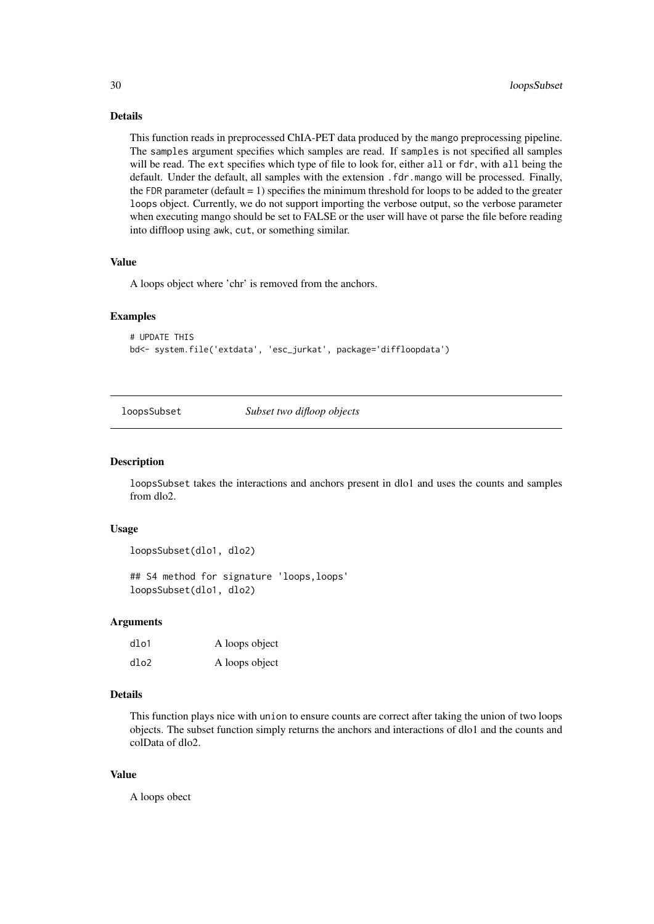#### Details

This function reads in preprocessed ChIA-PET data produced by the mango preprocessing pipeline. The samples argument specifies which samples are read. If samples is not specified all samples will be read. The ext specifies which type of file to look for, either all or fdr, with all being the default. Under the default, all samples with the extension .fdr.mango will be processed. Finally, the FDR parameter (default  $= 1$ ) specifies the minimum threshold for loops to be added to the greater loops object. Currently, we do not support importing the verbose output, so the verbose parameter when executing mango should be set to FALSE or the user will have ot parse the file before reading into diffloop using awk, cut, or something similar.

#### Value

A loops object where 'chr' is removed from the anchors.

#### Examples

# UPDATE THIS bd<- system.file('extdata', 'esc\_jurkat', package='diffloopdata')

loopsSubset *Subset two difloop objects*

#### Description

loopsSubset takes the interactions and anchors present in dlo1 and uses the counts and samples from dlo2.

#### Usage

```
loopsSubset(dlo1, dlo2)
```
## S4 method for signature 'loops,loops' loopsSubset(dlo1, dlo2)

#### Arguments

| dlo1 | A loops object |
|------|----------------|
| dlo2 | A loops object |

## Details

This function plays nice with union to ensure counts are correct after taking the union of two loops objects. The subset function simply returns the anchors and interactions of dlo1 and the counts and colData of dlo2.

## Value

A loops obect

<span id="page-29-0"></span>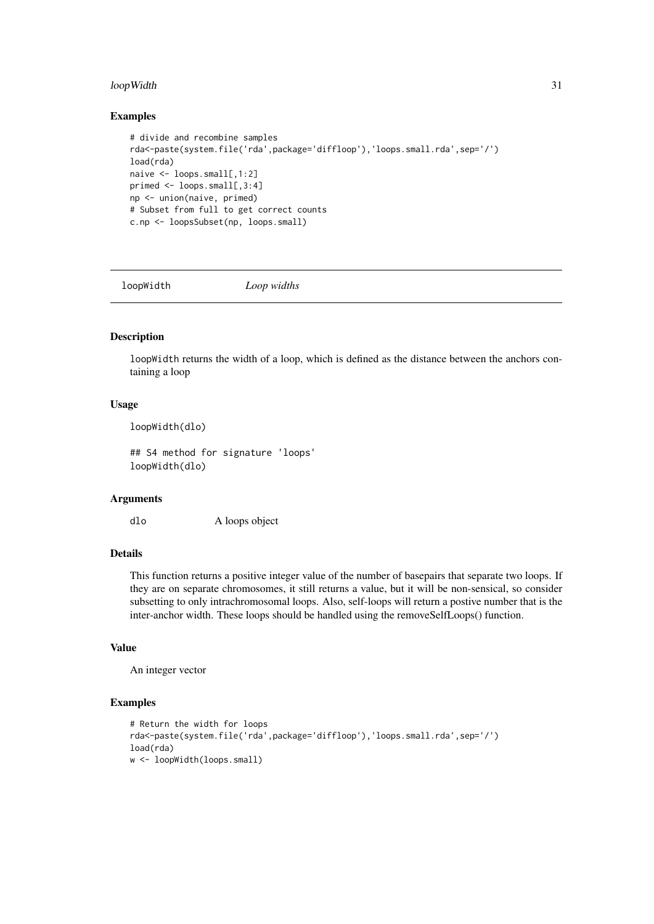#### <span id="page-30-0"></span>loopWidth 31

## Examples

```
# divide and recombine samples
rda<-paste(system.file('rda',package='diffloop'),'loops.small.rda',sep='/')
load(rda)
naive <- loops.small[,1:2]
primed <- loops.small[,3:4]
np <- union(naive, primed)
# Subset from full to get correct counts
c.np <- loopsSubset(np, loops.small)
```
loopWidth *Loop widths*

## Description

loopWidth returns the width of a loop, which is defined as the distance between the anchors containing a loop

## Usage

loopWidth(dlo)

## S4 method for signature 'loops' loopWidth(dlo)

## Arguments

dlo A loops object

#### Details

This function returns a positive integer value of the number of basepairs that separate two loops. If they are on separate chromosomes, it still returns a value, but it will be non-sensical, so consider subsetting to only intrachromosomal loops. Also, self-loops will return a postive number that is the inter-anchor width. These loops should be handled using the removeSelfLoops() function.

## Value

An integer vector

```
# Return the width for loops
rda<-paste(system.file('rda',package='diffloop'),'loops.small.rda',sep='/')
load(rda)
w <- loopWidth(loops.small)
```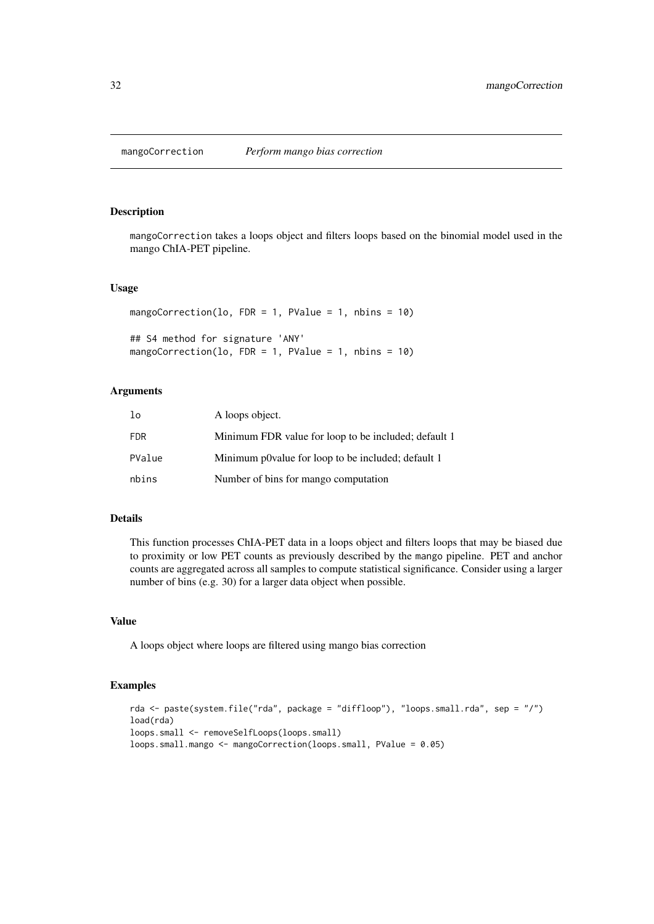<span id="page-31-0"></span>

mangoCorrection takes a loops object and filters loops based on the binomial model used in the mango ChIA-PET pipeline.

#### Usage

```
mangoCorrection(lo, FDR = 1, PValue = 1, nbins = 10)
## S4 method for signature 'ANY'
mangoCorrection(lo, FDR = 1, PValue = 1, nbins = 10)
```
## Arguments

| lo         | A loops object.                                      |
|------------|------------------------------------------------------|
| <b>FDR</b> | Minimum FDR value for loop to be included; default 1 |
| PValue     | Minimum p0value for loop to be included; default 1   |
| nbins      | Number of bins for mango computation                 |

## Details

This function processes ChIA-PET data in a loops object and filters loops that may be biased due to proximity or low PET counts as previously described by the mango pipeline. PET and anchor counts are aggregated across all samples to compute statistical significance. Consider using a larger number of bins (e.g. 30) for a larger data object when possible.

#### Value

A loops object where loops are filtered using mango bias correction

```
rda <- paste(system.file("rda", package = "diffloop"), "loops.small.rda", sep = "/")
load(rda)
loops.small <- removeSelfLoops(loops.small)
loops.small.mango <- mangoCorrection(loops.small, PValue = 0.05)
```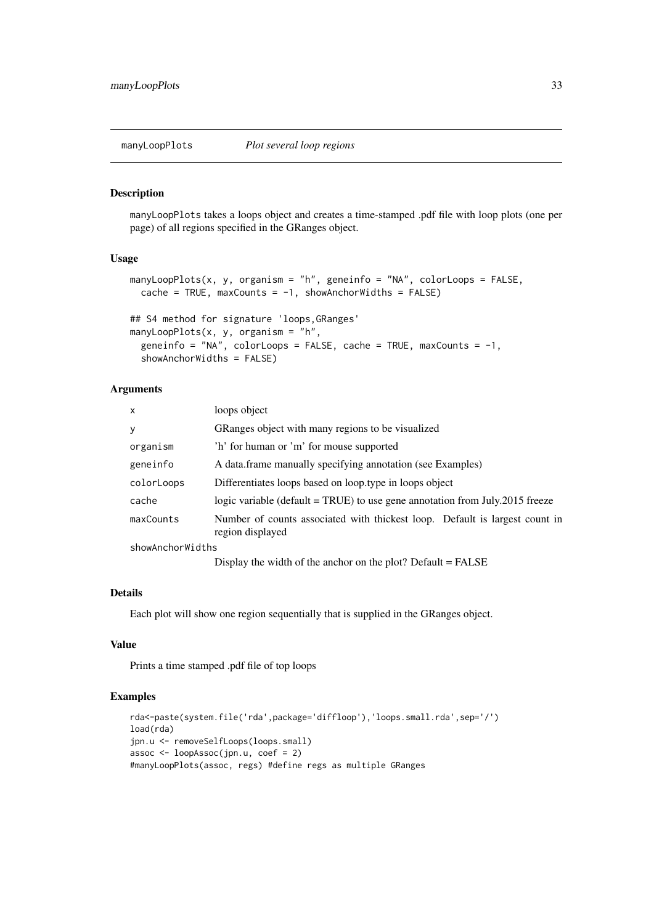<span id="page-32-0"></span>

manyLoopPlots takes a loops object and creates a time-stamped .pdf file with loop plots (one per page) of all regions specified in the GRanges object.

## Usage

```
manyLoopPlots(x, y, organism = "h", geneinfo = "NA", colorLoops = FALSE,
  cache = TRUE, maxCounts = -1, showAnchorWidths = FALSE)
## S4 method for signature 'loops,GRanges'
manyLoopPlots(x, y, \text{organism} = "h",geneinfo = "NA", colorLoops = FALSE, cache = TRUE, maxCounts = -1,
  showAnchorWidths = FALSE)
```
## Arguments

| $\mathsf{x}$     | loops object                                                                                    |  |
|------------------|-------------------------------------------------------------------------------------------------|--|
| y                | GRanges object with many regions to be visualized                                               |  |
| organism         | 'h' for human or 'm' for mouse supported                                                        |  |
| geneinfo         | A data.frame manually specifying annotation (see Examples)                                      |  |
| colorLoops       | Differentiates loops based on loop.type in loops object                                         |  |
| cache            | logic variable (default = TRUE) to use gene annotation from July.2015 freeze                    |  |
| maxCounts        | Number of counts associated with thickest loop. Default is largest count in<br>region displayed |  |
| showAnchorWidths |                                                                                                 |  |
|                  | Display the width of the anchor on the plot? Default $=$ FALSE                                  |  |

#### Details

Each plot will show one region sequentially that is supplied in the GRanges object.

## Value

Prints a time stamped .pdf file of top loops

```
rda<-paste(system.file('rda',package='diffloop'),'loops.small.rda',sep='/')
load(rda)
jpn.u <- removeSelfLoops(loops.small)
assoc <- loopAssoc(jpn.u, coef = 2)
#manyLoopPlots(assoc, regs) #define regs as multiple GRanges
```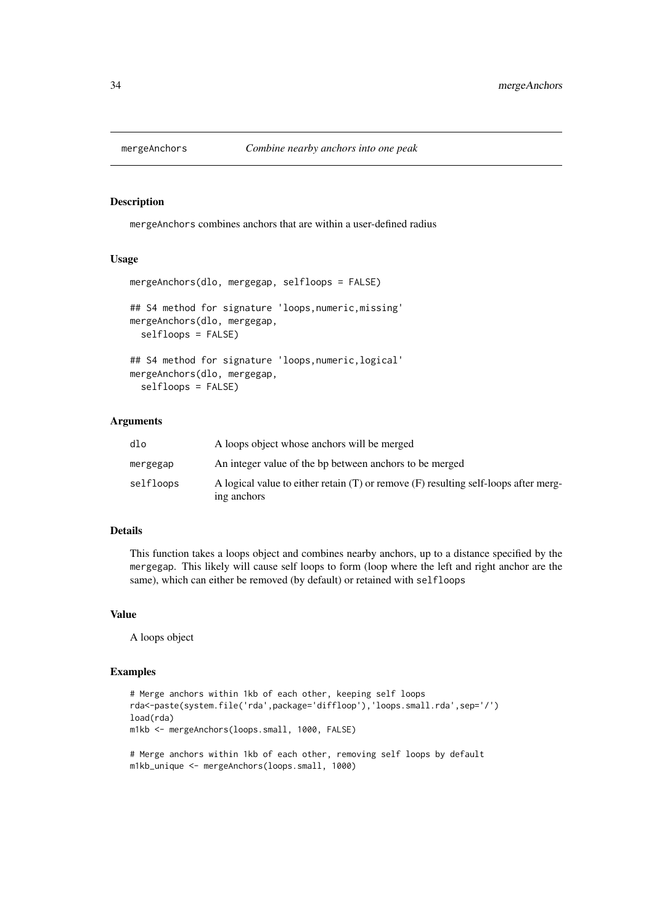<span id="page-33-0"></span>

mergeAnchors combines anchors that are within a user-defined radius

#### Usage

```
mergeAnchors(dlo, mergegap, selfloops = FALSE)
## S4 method for signature 'loops,numeric,missing'
mergeAnchors(dlo, mergegap,
 selfloops = FALSE)
## S4 method for signature 'loops,numeric,logical'
mergeAnchors(dlo, mergegap,
  selfloops = FALSE)
```
#### Arguments

| dlo       | A loops object whose anchors will be merged                                                            |
|-----------|--------------------------------------------------------------------------------------------------------|
| mergegap  | An integer value of the bp between anchors to be merged                                                |
| selfloops | A logical value to either retain $(T)$ or remove $(F)$ resulting self-loops after merg-<br>ing anchors |

## Details

This function takes a loops object and combines nearby anchors, up to a distance specified by the mergegap. This likely will cause self loops to form (loop where the left and right anchor are the same), which can either be removed (by default) or retained with selfloops

## Value

A loops object

```
# Merge anchors within 1kb of each other, keeping self loops
rda<-paste(system.file('rda',package='diffloop'),'loops.small.rda',sep='/')
load(rda)
m1kb <- mergeAnchors(loops.small, 1000, FALSE)
# Merge anchors within 1kb of each other, removing self loops by default
```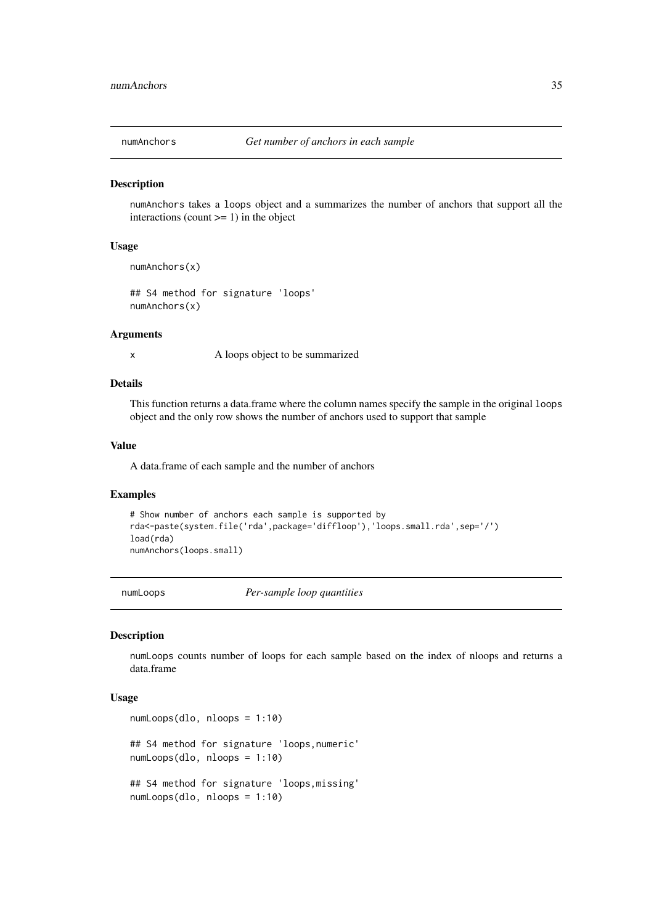<span id="page-34-0"></span>

numAnchors takes a loops object and a summarizes the number of anchors that support all the interactions (count  $>= 1$ ) in the object

#### Usage

```
numAnchors(x)
```
## S4 method for signature 'loops' numAnchors(x)

#### Arguments

x A loops object to be summarized

#### Details

This function returns a data.frame where the column names specify the sample in the original loops object and the only row shows the number of anchors used to support that sample

#### Value

A data.frame of each sample and the number of anchors

#### Examples

```
# Show number of anchors each sample is supported by
rda<-paste(system.file('rda',package='diffloop'),'loops.small.rda',sep='/')
load(rda)
numAnchors(loops.small)
```
numLoops *Per-sample loop quantities*

## Description

numLoops counts number of loops for each sample based on the index of nloops and returns a data.frame

## Usage

```
numLoops(dlo, nloops = 1:10)
## S4 method for signature 'loops,numeric'
numLoops(dlo, nloops = 1:10)
## S4 method for signature 'loops,missing'
numLoops(dlo, nloops = 1:10)
```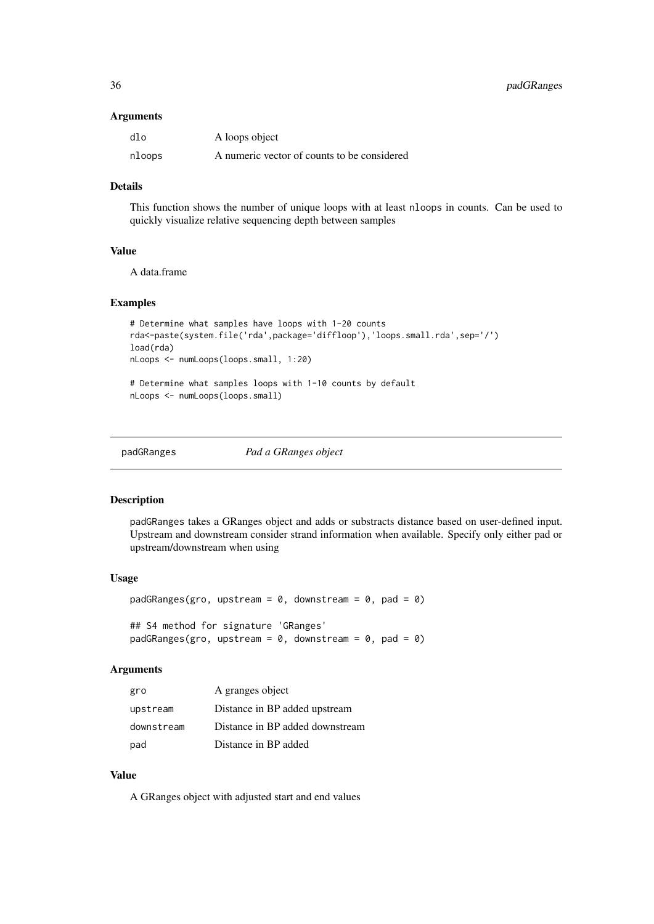#### <span id="page-35-0"></span>Arguments

| dlo    | A loops object                              |
|--------|---------------------------------------------|
| nloops | A numeric vector of counts to be considered |

## Details

This function shows the number of unique loops with at least nloops in counts. Can be used to quickly visualize relative sequencing depth between samples

#### Value

A data.frame

## Examples

```
# Determine what samples have loops with 1-20 counts
rda<-paste(system.file('rda',package='diffloop'),'loops.small.rda',sep='/')
load(rda)
nLoops <- numLoops(loops.small, 1:20)
# Determine what samples loops with 1-10 counts by default
nLoops <- numLoops(loops.small)
```
padGRanges *Pad a GRanges object*

#### Description

padGRanges takes a GRanges object and adds or substracts distance based on user-defined input. Upstream and downstream consider strand information when available. Specify only either pad or upstream/downstream when using

#### Usage

```
padGRanges(gro, upstream = 0, downstream = 0, pad = 0)## S4 method for signature 'GRanges'
padGRanges(gro, upstream = 0, downstream = 0, path)
```
#### Arguments

| gro        | A granges object                |
|------------|---------------------------------|
| upstream   | Distance in BP added upstream   |
| downstream | Distance in BP added downstream |
| pad        | Distance in BP added            |

## Value

A GRanges object with adjusted start and end values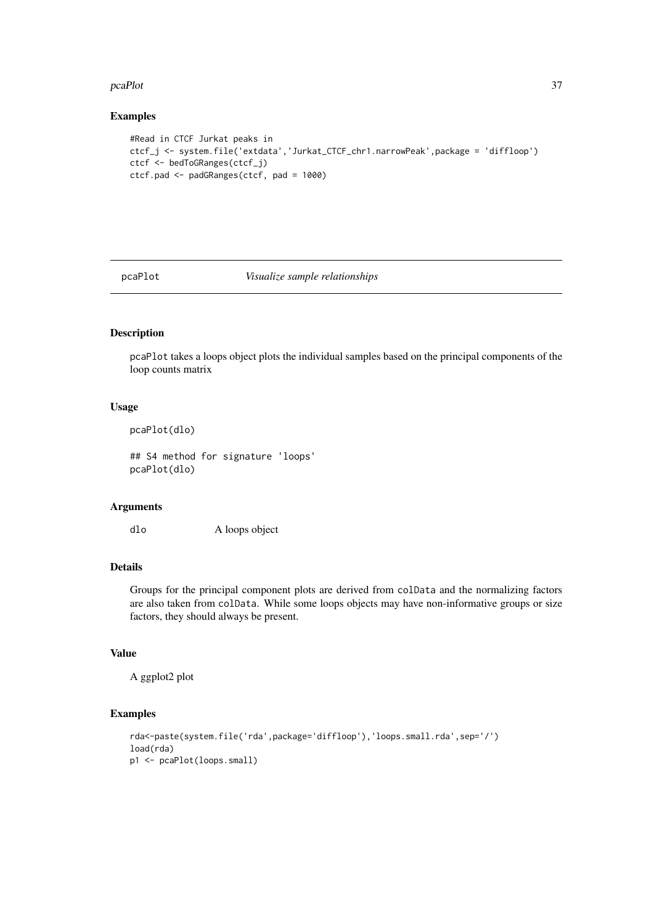#### <span id="page-36-0"></span>pcaPlot 37

## Examples

```
#Read in CTCF Jurkat peaks in
ctcf_j <- system.file('extdata','Jurkat_CTCF_chr1.narrowPeak',package = 'diffloop')
ctcf <- bedToGRanges(ctcf_j)
ctcf.pad <- padGRanges(ctcf, pad = 1000)
```
pcaPlot *Visualize sample relationships*

## Description

pcaPlot takes a loops object plots the individual samples based on the principal components of the loop counts matrix

## Usage

pcaPlot(dlo)

## S4 method for signature 'loops' pcaPlot(dlo)

#### Arguments

dlo A loops object

#### Details

Groups for the principal component plots are derived from colData and the normalizing factors are also taken from colData. While some loops objects may have non-informative groups or size factors, they should always be present.

## Value

A ggplot2 plot

```
rda<-paste(system.file('rda',package='diffloop'),'loops.small.rda',sep='/')
load(rda)
p1 <- pcaPlot(loops.small)
```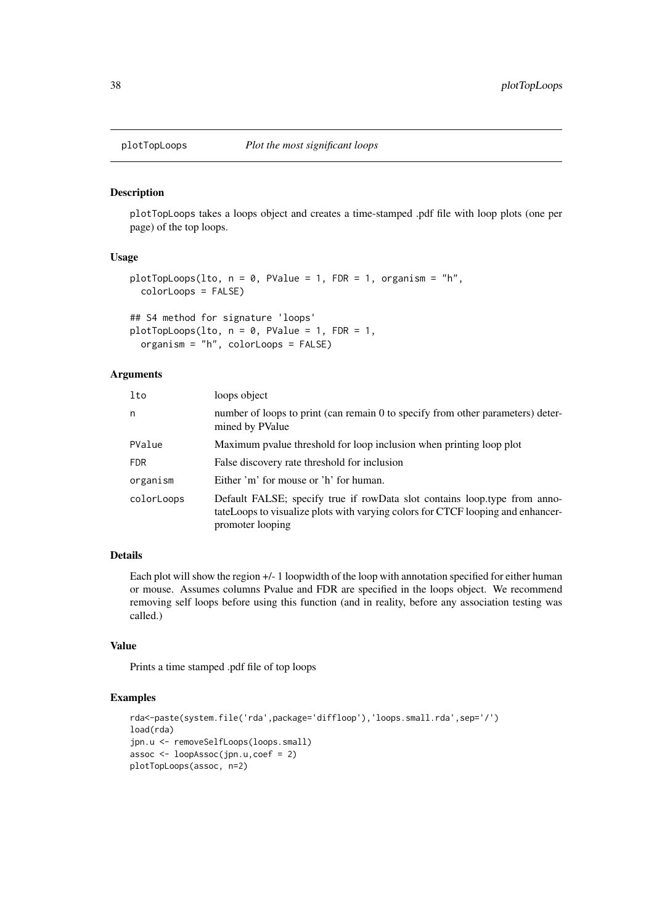<span id="page-37-0"></span>

plotTopLoops takes a loops object and creates a time-stamped .pdf file with loop plots (one per page) of the top loops.

## Usage

```
plotTopLoops(lto, n = 0, PValue = 1, FDR = 1, organism = "h",
 colorLoops = FALSE)
## S4 method for signature 'loops'
plotTopLoops(lto, n = 0, PValue = 1, FDR = 1,
 organism = "h", colorLoops = FALSE)
```
#### Arguments

| lto        | loops object                                                                                                                                                                     |
|------------|----------------------------------------------------------------------------------------------------------------------------------------------------------------------------------|
| n          | number of loops to print (can remain 0 to specify from other parameters) deter-<br>mined by PValue                                                                               |
| PValue     | Maximum pvalue threshold for loop inclusion when printing loop plot                                                                                                              |
| <b>FDR</b> | False discovery rate threshold for inclusion                                                                                                                                     |
| organism   | Either 'm' for mouse or 'h' for human.                                                                                                                                           |
| colorLoops | Default FALSE; specify true if rowData slot contains loop.type from anno-<br>tateLoops to visualize plots with varying colors for CTCF looping and enhancer-<br>promoter looping |

## Details

Each plot will show the region +/- 1 loopwidth of the loop with annotation specified for either human or mouse. Assumes columns Pvalue and FDR are specified in the loops object. We recommend removing self loops before using this function (and in reality, before any association testing was called.)

## Value

Prints a time stamped .pdf file of top loops

```
rda<-paste(system.file('rda',package='diffloop'),'loops.small.rda',sep='/')
load(rda)
jpn.u <- removeSelfLoops(loops.small)
assoc <- loopAssoc(jpn.u,coef = 2)
plotTopLoops(assoc, n=2)
```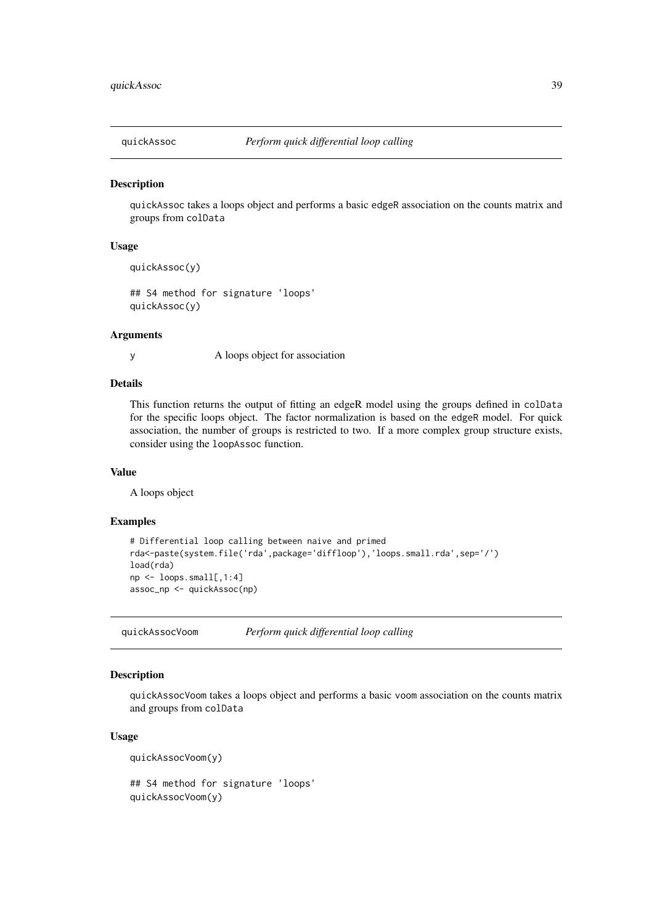<span id="page-38-0"></span>

quickAssoc takes a loops object and performs a basic edgeR association on the counts matrix and groups from colData

## Usage

```
quickAssoc(y)
```
## S4 method for signature 'loops' quickAssoc(y)

#### Arguments

y A loops object for association

#### Details

This function returns the output of fitting an edgeR model using the groups defined in colData for the specific loops object. The factor normalization is based on the edgeR model. For quick association, the number of groups is restricted to two. If a more complex group structure exists, consider using the loopAssoc function.

#### Value

A loops object

## Examples

```
# Differential loop calling between naive and primed
rda<-paste(system.file('rda',package='diffloop'),'loops.small.rda',sep='/')
load(rda)
np <- loops.small[,1:4]
assoc_np <- quickAssoc(np)
```
quickAssocVoom *Perform quick differential loop calling*

#### Description

quickAssocVoom takes a loops object and performs a basic voom association on the counts matrix and groups from colData

## Usage

quickAssocVoom(y)

```
## S4 method for signature 'loops'
quickAssocVoom(y)
```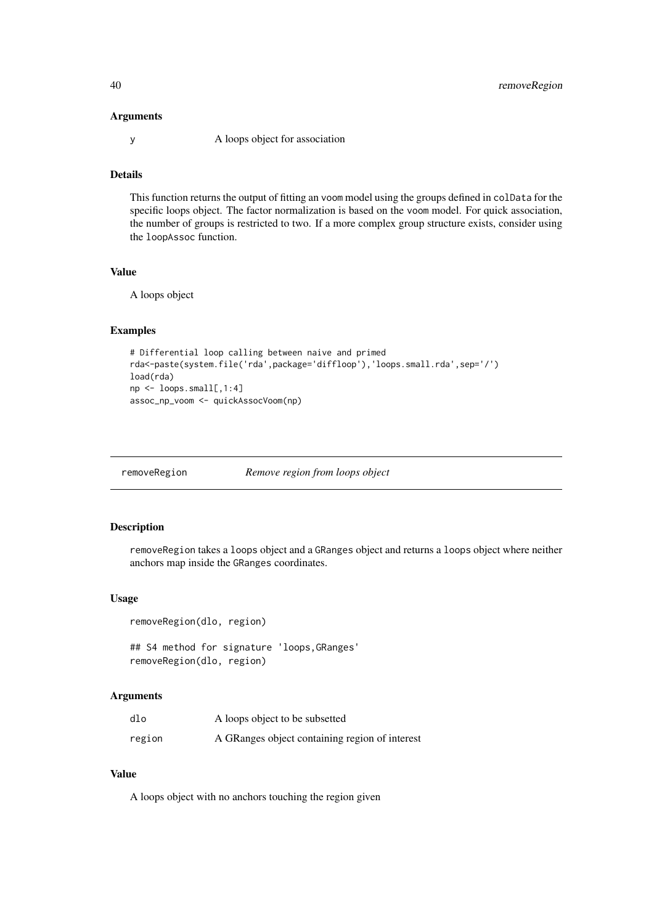#### Arguments

y A loops object for association

## Details

This function returns the output of fitting an voom model using the groups defined in colData for the specific loops object. The factor normalization is based on the voom model. For quick association, the number of groups is restricted to two. If a more complex group structure exists, consider using the loopAssoc function.

## Value

A loops object

## Examples

```
# Differential loop calling between naive and primed
rda<-paste(system.file('rda',package='diffloop'),'loops.small.rda',sep='/')
load(rda)
np <- loops.small[,1:4]
assoc_np_voom <- quickAssocVoom(np)
```
removeRegion *Remove region from loops object*

## Description

removeRegion takes a loops object and a GRanges object and returns a loops object where neither anchors map inside the GRanges coordinates.

## Usage

```
removeRegion(dlo, region)
## S4 method for signature 'loops,GRanges'
removeRegion(dlo, region)
```
#### Arguments

| dlo    | A loops object to be subsetted                 |
|--------|------------------------------------------------|
| region | A GRanges object containing region of interest |

## Value

A loops object with no anchors touching the region given

<span id="page-39-0"></span>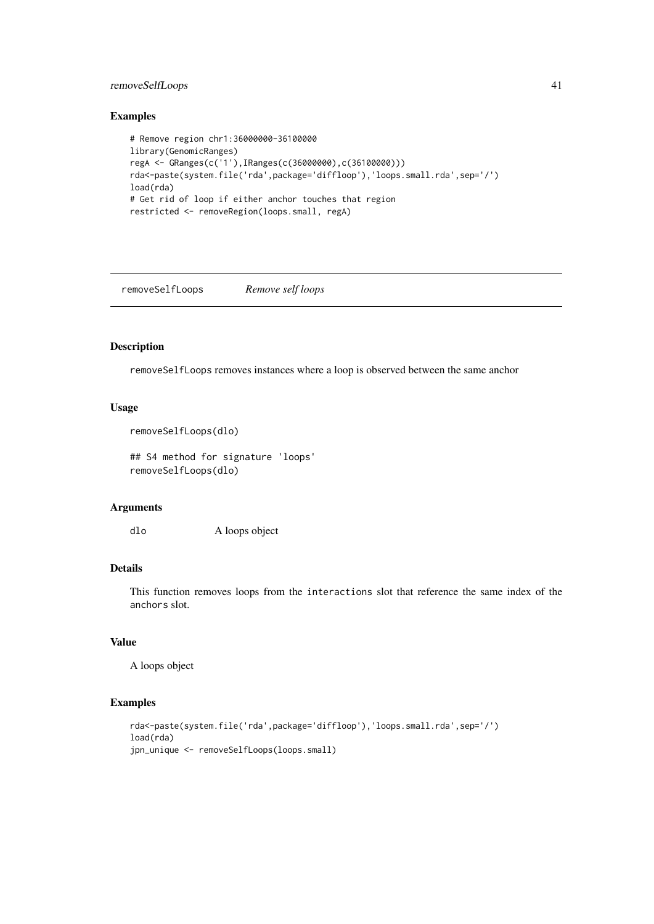#### <span id="page-40-0"></span>removeSelfLoops 41

## Examples

```
# Remove region chr1:36000000-36100000
library(GenomicRanges)
regA <- GRanges(c('1'),IRanges(c(36000000),c(36100000)))
rda<-paste(system.file('rda',package='diffloop'),'loops.small.rda',sep='/')
load(rda)
# Get rid of loop if either anchor touches that region
restricted <- removeRegion(loops.small, regA)
```
removeSelfLoops *Remove self loops*

#### Description

removeSelfLoops removes instances where a loop is observed between the same anchor

## Usage

```
removeSelfLoops(dlo)
```
## S4 method for signature 'loops' removeSelfLoops(dlo)

## Arguments

dlo A loops object

## Details

This function removes loops from the interactions slot that reference the same index of the anchors slot.

## Value

A loops object

```
rda<-paste(system.file('rda',package='diffloop'),'loops.small.rda',sep='/')
load(rda)
jpn_unique <- removeSelfLoops(loops.small)
```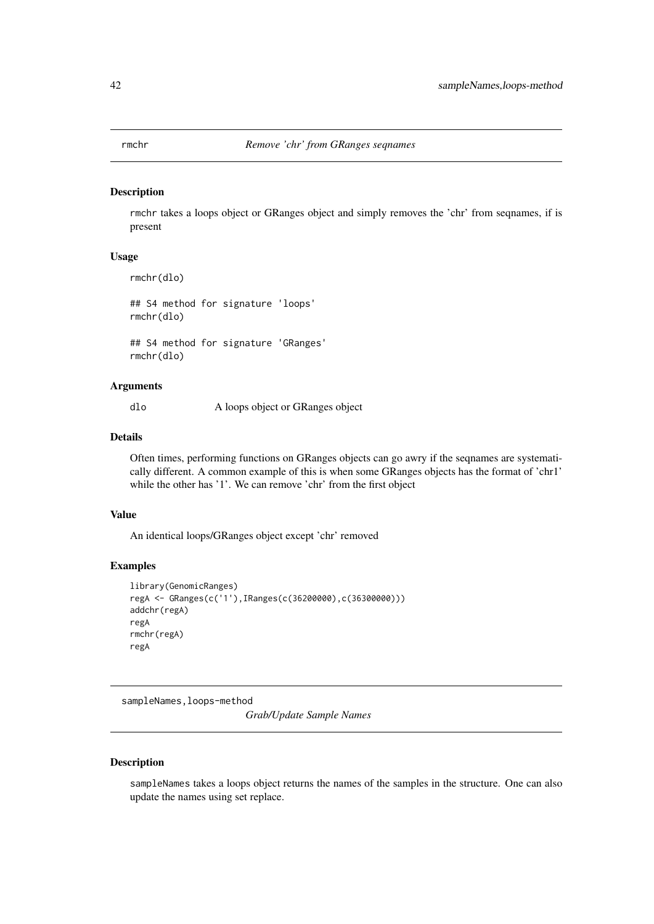<span id="page-41-0"></span>

rmchr takes a loops object or GRanges object and simply removes the 'chr' from seqnames, if is present

#### Usage

rmchr(dlo)

## S4 method for signature 'loops' rmchr(dlo)

## S4 method for signature 'GRanges' rmchr(dlo)

#### Arguments

dlo A loops object or GRanges object

## Details

Often times, performing functions on GRanges objects can go awry if the seqnames are systematically different. A common example of this is when some GRanges objects has the format of 'chr1' while the other has '1'. We can remove 'chr' from the first object

## Value

An identical loops/GRanges object except 'chr' removed

#### Examples

```
library(GenomicRanges)
regA <- GRanges(c('1'),IRanges(c(36200000),c(36300000)))
addchr(regA)
regA
rmchr(regA)
regA
```
sampleNames,loops-method

*Grab/Update Sample Names*

## Description

sampleNames takes a loops object returns the names of the samples in the structure. One can also update the names using set replace.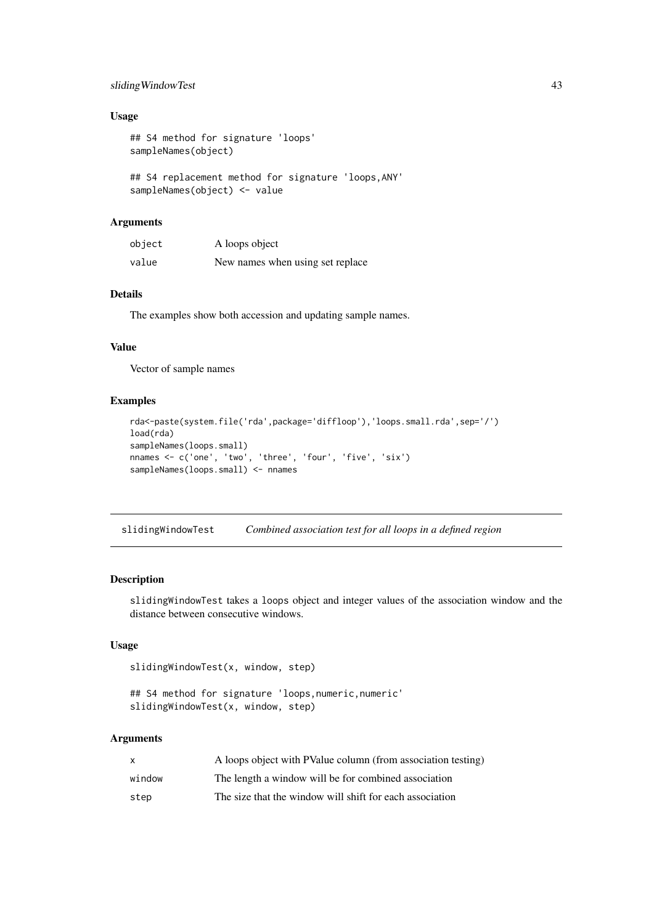#### <span id="page-42-0"></span>slidingWindowTest 43

## Usage

```
## S4 method for signature 'loops'
sampleNames(object)
```

```
## S4 replacement method for signature 'loops,ANY'
sampleNames(object) <- value
```
## Arguments

| object | A loops object                   |
|--------|----------------------------------|
| value  | New names when using set replace |

## Details

The examples show both accession and updating sample names.

#### Value

Vector of sample names

#### Examples

```
rda<-paste(system.file('rda',package='diffloop'),'loops.small.rda',sep='/')
load(rda)
sampleNames(loops.small)
nnames <- c('one', 'two', 'three', 'four', 'five', 'six')
sampleNames(loops.small) <- nnames
```
slidingWindowTest *Combined association test for all loops in a defined region*

#### Description

slidingWindowTest takes a loops object and integer values of the association window and the distance between consecutive windows.

## Usage

```
slidingWindowTest(x, window, step)
```
## S4 method for signature 'loops, numeric, numeric' slidingWindowTest(x, window, step)

#### Arguments

| X      | A loops object with PValue column (from association testing) |
|--------|--------------------------------------------------------------|
| window | The length a window will be for combined association         |
| step   | The size that the window will shift for each association     |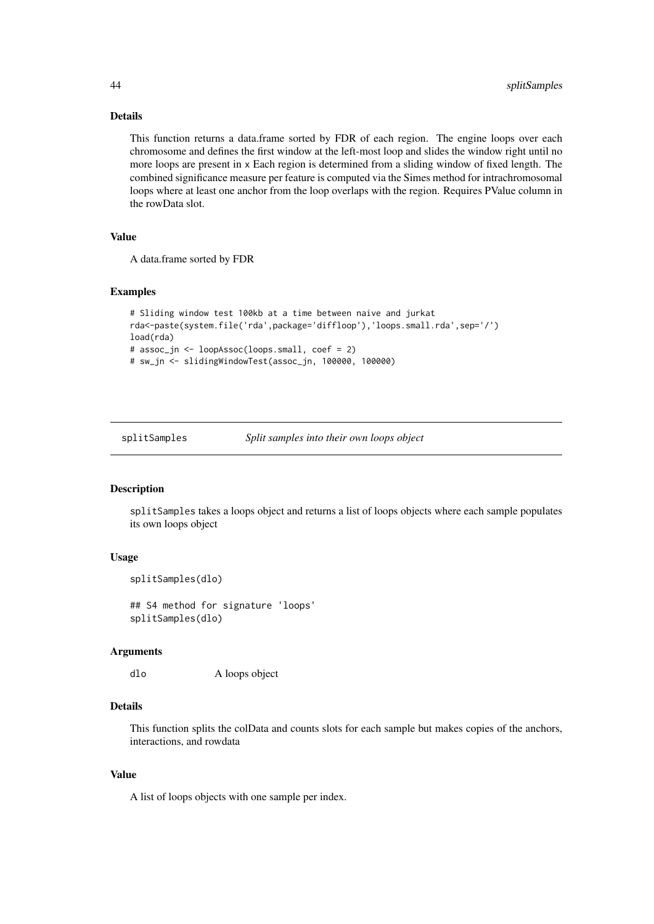#### Details

This function returns a data.frame sorted by FDR of each region. The engine loops over each chromosome and defines the first window at the left-most loop and slides the window right until no more loops are present in x Each region is determined from a sliding window of fixed length. The combined significance measure per feature is computed via the Simes method for intrachromosomal loops where at least one anchor from the loop overlaps with the region. Requires PValue column in the rowData slot.

## Value

A data.frame sorted by FDR

#### Examples

```
# Sliding window test 100kb at a time between naive and jurkat
rda<-paste(system.file('rda',package='diffloop'),'loops.small.rda',sep='/')
load(rda)
# assoc_jn <- loopAssoc(loops.small, coef = 2)
# sw_jn <- slidingWindowTest(assoc_jn, 100000, 100000)
```
splitSamples *Split samples into their own loops object*

#### Description

splitSamples takes a loops object and returns a list of loops objects where each sample populates its own loops object

## Usage

```
splitSamples(dlo)
```
## S4 method for signature 'loops' splitSamples(dlo)

#### Arguments

dlo A loops object

#### Details

This function splits the colData and counts slots for each sample but makes copies of the anchors, interactions, and rowdata

## Value

A list of loops objects with one sample per index.

<span id="page-43-0"></span>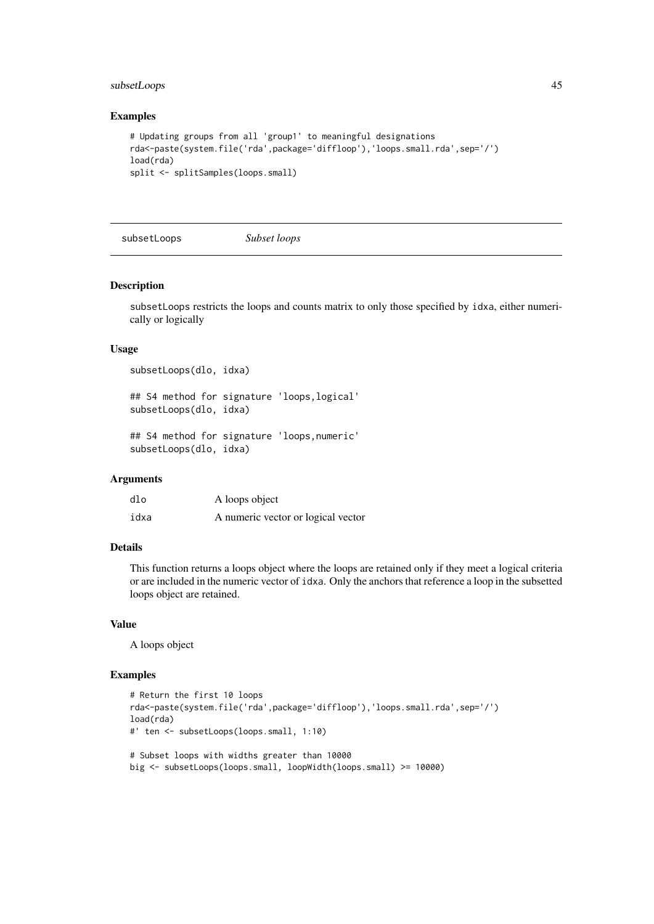#### <span id="page-44-0"></span>subsetLoops 45

#### Examples

```
# Updating groups from all 'group1' to meaningful designations
rda<-paste(system.file('rda',package='diffloop'),'loops.small.rda',sep='/')
load(rda)
split <- splitSamples(loops.small)
```
subsetLoops *Subset loops*

#### Description

subsetLoops restricts the loops and counts matrix to only those specified by idxa, either numerically or logically

#### Usage

```
subsetLoops(dlo, idxa)
## S4 method for signature 'loops,logical'
subsetLoops(dlo, idxa)
## S4 method for signature 'loops,numeric'
subsetLoops(dlo, idxa)
```
#### Arguments

| dlo  | A loops object                     |
|------|------------------------------------|
| idxa | A numeric vector or logical vector |

## Details

This function returns a loops object where the loops are retained only if they meet a logical criteria or are included in the numeric vector of idxa. Only the anchors that reference a loop in the subsetted loops object are retained.

## Value

A loops object

```
# Return the first 10 loops
rda<-paste(system.file('rda',package='diffloop'),'loops.small.rda',sep='/')
load(rda)
#' ten <- subsetLoops(loops.small, 1:10)
# Subset loops with widths greater than 10000
big <- subsetLoops(loops.small, loopWidth(loops.small) >= 10000)
```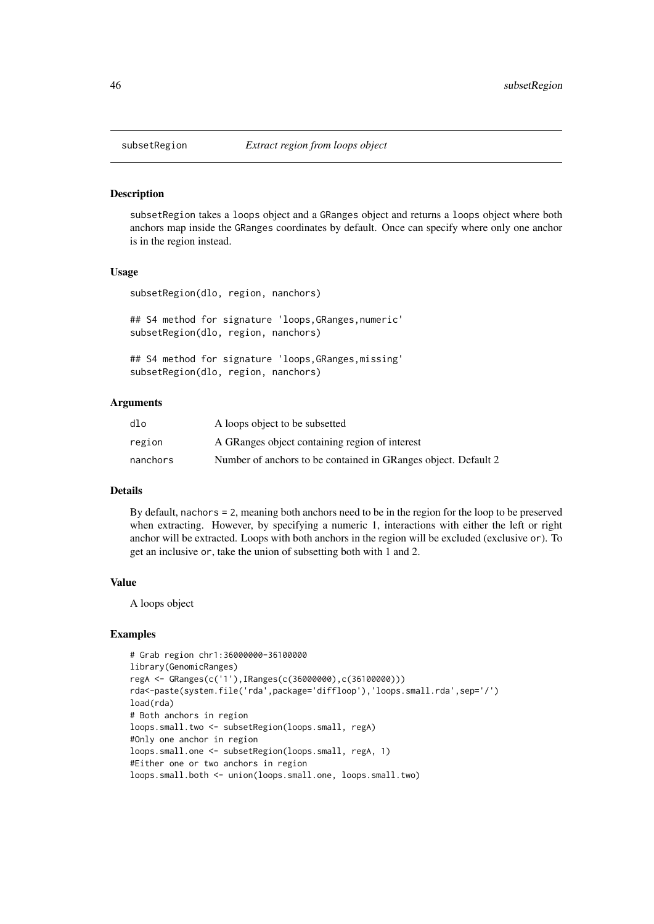subsetRegion takes a loops object and a GRanges object and returns a loops object where both anchors map inside the GRanges coordinates by default. Once can specify where only one anchor is in the region instead.

#### Usage

```
subsetRegion(dlo, region, nanchors)
```
## S4 method for signature 'loops,GRanges,numeric' subsetRegion(dlo, region, nanchors)

```
## S4 method for signature 'loops, GRanges, missing'
subsetRegion(dlo, region, nanchors)
```
#### Arguments

| dlo      | A loops object to be subsetted                                 |
|----------|----------------------------------------------------------------|
| region   | A GRanges object containing region of interest                 |
| nanchors | Number of anchors to be contained in GRanges object. Default 2 |

## Details

By default, nachors = 2, meaning both anchors need to be in the region for the loop to be preserved when extracting. However, by specifying a numeric 1, interactions with either the left or right anchor will be extracted. Loops with both anchors in the region will be excluded (exclusive or). To get an inclusive or, take the union of subsetting both with 1 and 2.

## Value

A loops object

```
# Grab region chr1:36000000-36100000
library(GenomicRanges)
regA <- GRanges(c('1'),IRanges(c(36000000),c(36100000)))
rda<-paste(system.file('rda',package='diffloop'),'loops.small.rda',sep='/')
load(rda)
# Both anchors in region
loops.small.two <- subsetRegion(loops.small, regA)
#Only one anchor in region
loops.small.one <- subsetRegion(loops.small, regA, 1)
#Either one or two anchors in region
loops.small.both <- union(loops.small.one, loops.small.two)
```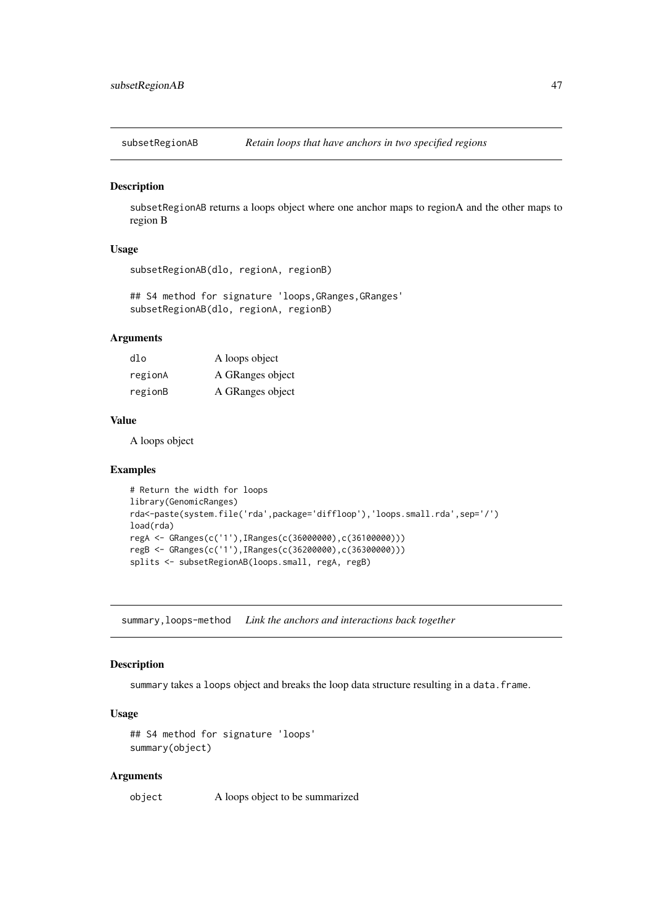<span id="page-46-0"></span>subsetRegionAB *Retain loops that have anchors in two specified regions*

## Description

subsetRegionAB returns a loops object where one anchor maps to regionA and the other maps to region B

#### Usage

```
subsetRegionAB(dlo, regionA, regionB)
```
## S4 method for signature 'loops, GRanges, GRanges' subsetRegionAB(dlo, regionA, regionB)

## Arguments

| $d$ lo  | A loops object   |
|---------|------------------|
| regionA | A GRanges object |
| regionB | A GRanges object |

#### Value

A loops object

#### Examples

```
# Return the width for loops
library(GenomicRanges)
rda<-paste(system.file('rda',package='diffloop'),'loops.small.rda',sep='/')
load(rda)
regA <- GRanges(c('1'),IRanges(c(36000000),c(36100000)))
regB <- GRanges(c('1'),IRanges(c(36200000),c(36300000)))
splits <- subsetRegionAB(loops.small, regA, regB)
```
summary,loops-method *Link the anchors and interactions back together*

#### Description

summary takes a loops object and breaks the loop data structure resulting in a data. frame.

## Usage

```
## S4 method for signature 'loops'
summary(object)
```
## Arguments

object A loops object to be summarized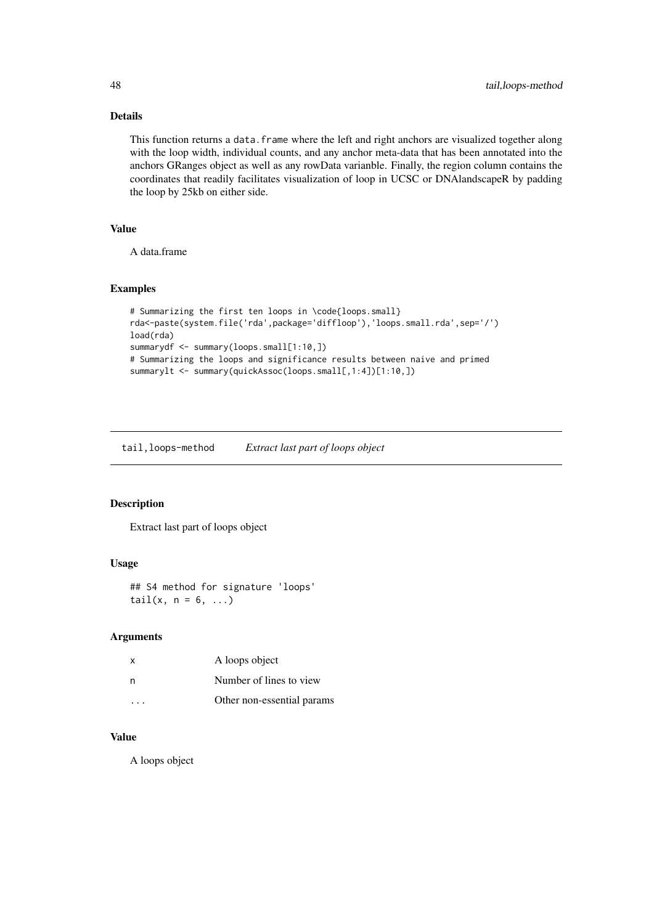## Details

This function returns a data. frame where the left and right anchors are visualized together along with the loop width, individual counts, and any anchor meta-data that has been annotated into the anchors GRanges object as well as any rowData varianble. Finally, the region column contains the coordinates that readily facilitates visualization of loop in UCSC or DNAlandscapeR by padding the loop by 25kb on either side.

## Value

A data.frame

#### Examples

```
# Summarizing the first ten loops in \code{loops.small}
rda<-paste(system.file('rda',package='diffloop'),'loops.small.rda',sep='/')
load(rda)
summarydf <- summary(loops.small[1:10,])
# Summarizing the loops and significance results between naive and primed
summarylt <- summary(quickAssoc(loops.small[,1:4])[1:10,])
```
tail,loops-method *Extract last part of loops object*

## Description

Extract last part of loops object

## Usage

```
## S4 method for signature 'loops'
tail(x, n = 6, ...)
```
#### Arguments

| X | A loops object             |
|---|----------------------------|
| n | Number of lines to view    |
|   | Other non-essential params |

## Value

A loops object

<span id="page-47-0"></span>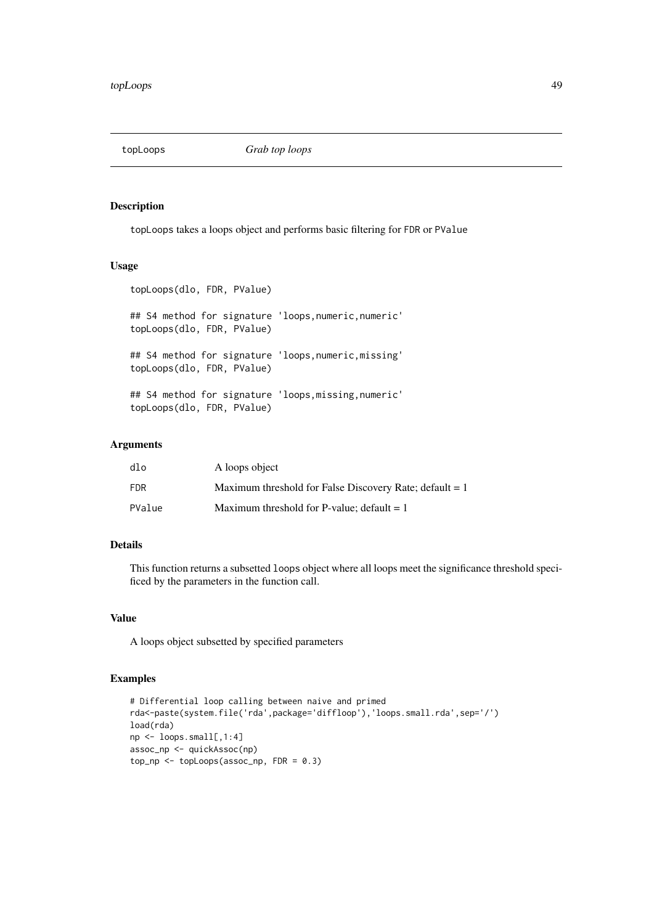<span id="page-48-0"></span>

topLoops takes a loops object and performs basic filtering for FDR or PValue

#### Usage

```
topLoops(dlo, FDR, PValue)
## S4 method for signature 'loops, numeric, numeric'
topLoops(dlo, FDR, PValue)
## S4 method for signature 'loops,numeric,missing'
topLoops(dlo, FDR, PValue)
## S4 method for signature 'loops,missing,numeric'
topLoops(dlo, FDR, PValue)
```
## Arguments

| dlo        | A loops object                                            |
|------------|-----------------------------------------------------------|
| <b>FDR</b> | Maximum threshold for False Discovery Rate; default $= 1$ |
| PValue     | Maximum threshold for P-value; default $= 1$              |

## Details

This function returns a subsetted loops object where all loops meet the significance threshold specificed by the parameters in the function call.

#### Value

A loops object subsetted by specified parameters

```
# Differential loop calling between naive and primed
rda<-paste(system.file('rda',package='diffloop'),'loops.small.rda',sep='/')
load(rda)
np <- loops.small[,1:4]
assoc_np <- quickAssoc(np)
top(np <- toploops(assoc_np, FDR = 0.3)
```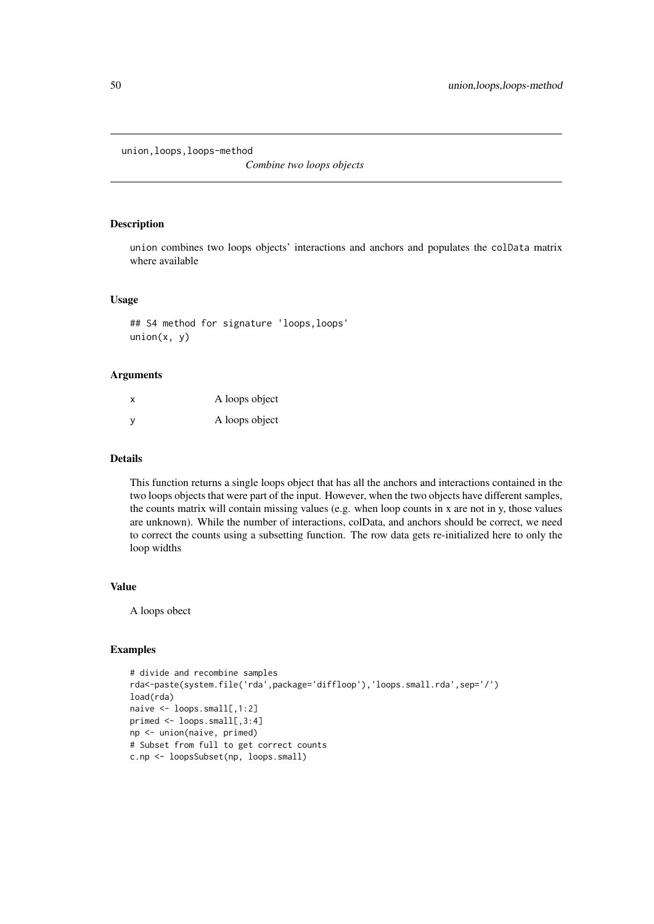<span id="page-49-0"></span>union,loops,loops-method

*Combine two loops objects*

## Description

union combines two loops objects' interactions and anchors and populates the colData matrix where available

## Usage

## S4 method for signature 'loops,loops'  $union(x, y)$ 

#### Arguments

| X | A loops object |
|---|----------------|
| У | A loops object |

#### Details

This function returns a single loops object that has all the anchors and interactions contained in the two loops objects that were part of the input. However, when the two objects have different samples, the counts matrix will contain missing values (e.g. when loop counts in x are not in y, those values are unknown). While the number of interactions, colData, and anchors should be correct, we need to correct the counts using a subsetting function. The row data gets re-initialized here to only the loop widths

## Value

A loops obect

```
# divide and recombine samples
rda<-paste(system.file('rda',package='diffloop'),'loops.small.rda',sep='/')
load(rda)
naive <- loops.small[,1:2]
primed \leq loops.small[,3:4]
np <- union(naive, primed)
# Subset from full to get correct counts
c.np <- loopsSubset(np, loops.small)
```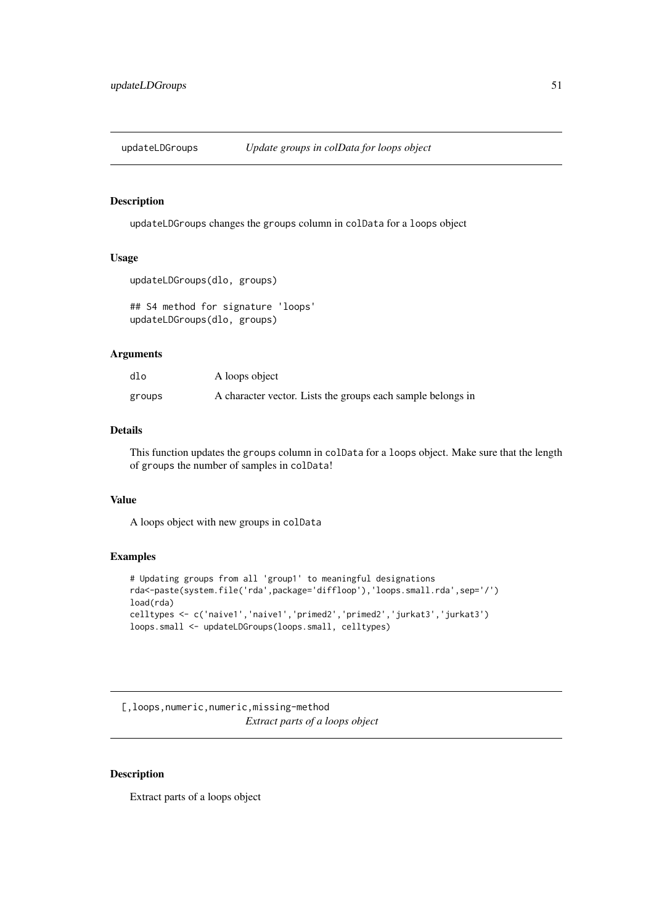<span id="page-50-0"></span>

updateLDGroups changes the groups column in colData for a loops object

## Usage

```
updateLDGroups(dlo, groups)
```
## S4 method for signature 'loops' updateLDGroups(dlo, groups)

## Arguments

| dlo    | A loops object                                              |
|--------|-------------------------------------------------------------|
| groups | A character vector. Lists the groups each sample belongs in |

## Details

This function updates the groups column in colData for a loops object. Make sure that the length of groups the number of samples in colData!

## Value

A loops object with new groups in colData

## Examples

```
# Updating groups from all 'group1' to meaningful designations
rda<-paste(system.file('rda',package='diffloop'),'loops.small.rda',sep='/')
load(rda)
celltypes <- c('naive1','naive1','primed2','primed2','jurkat3','jurkat3')
loops.small <- updateLDGroups(loops.small, celltypes)
```
[,loops,numeric,numeric,missing-method *Extract parts of a loops object*

## Description

Extract parts of a loops object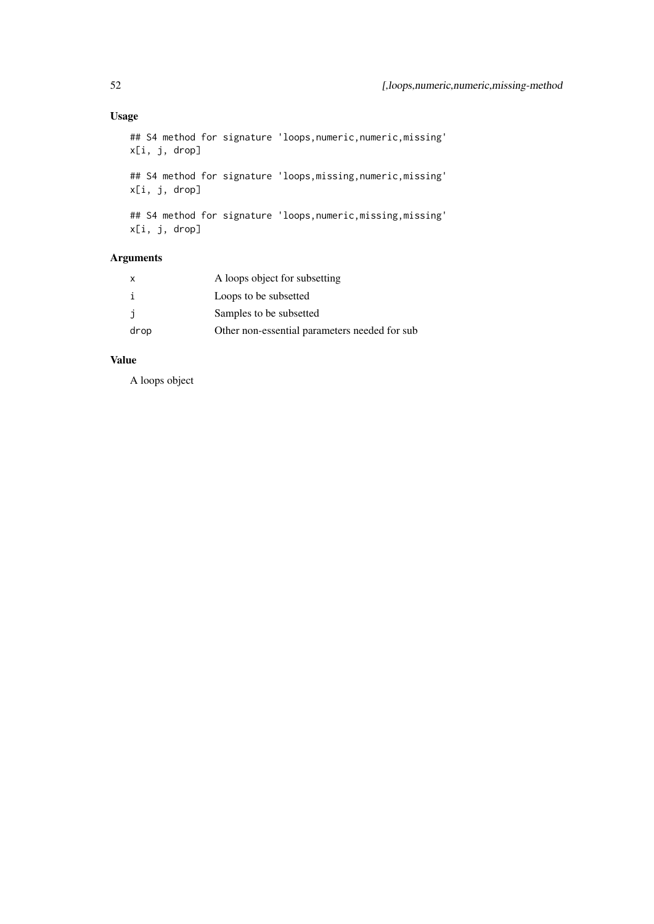## Usage

```
## S4 method for signature 'loops,numeric,numeric,missing'
x[i, j, drop]
## S4 method for signature 'loops, missing, numeric, missing'
x[i, j, drop]
## S4 method for signature 'loops, numeric, missing, missing'
x[i, j, drop]
```
## Arguments

| $\mathsf{x}$ | A loops object for subsetting                  |
|--------------|------------------------------------------------|
|              | Loops to be subsetted                          |
|              | Samples to be subsetted                        |
| drop         | Other non-essential parameters needed for sub- |

## Value

A loops object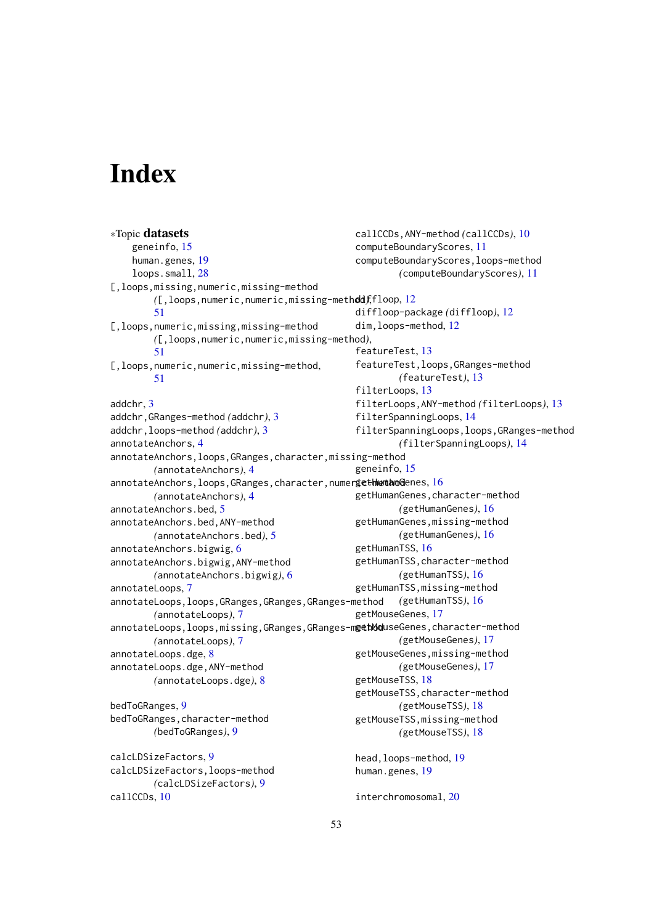# <span id="page-52-0"></span>Index

∗Topic datasets geneinfo, [15](#page-14-0) human.genes, [19](#page-18-0) loops.small, [28](#page-27-0) [,loops,missing,numeric,missing-method *(*[,loops,numeric,numeric,missing-method*)*, diffloop, [12](#page-11-0) [51](#page-50-0) [,loops,numeric,missing,missing-method *(*[,loops,numeric,numeric,missing-method*)*, [51](#page-50-0) [,loops,numeric,numeric,missing-method, [51](#page-50-0) addchr, [3](#page-2-0) addchr,GRanges-method *(*addchr*)*, [3](#page-2-0) addchr,loops-method *(*addchr*)*, [3](#page-2-0) annotateAnchors, [4](#page-3-0) annotateAnchors,loops,GRanges,character,missing-method *(*annotateAnchors*)*, [4](#page-3-0) annotateAnchors, $\sf{loops}$ , $\sf{GRanges}$ , $\sf{character}$ , $\sf{numer}$ iet $\sf{Hw}$ man $\sf{Qenes},$   $\sf{16}$  $\sf{16}$  $\sf{16}$ *(*annotateAnchors*)*, [4](#page-3-0) annotateAnchors.bed, [5](#page-4-0) annotateAnchors.bed,ANY-method *(*annotateAnchors.bed*)*, [5](#page-4-0) annotateAnchors.bigwig, [6](#page-5-0) annotateAnchors.bigwig,ANY-method *(*annotateAnchors.bigwig*)*, [6](#page-5-0) annotateLoops, [7](#page-6-0) annotateLoops,loops,GRanges,GRanges,GRanges-method *(*annotateLoops*)*, [7](#page-6-0) annotateLoops, loops, missing, GRanges, GRanges-methoduseGenes, character-method *(*annotateLoops*)*, [7](#page-6-0) annotateLoops.dge, [8](#page-7-0) annotateLoops.dge,ANY-method *(*annotateLoops.dge*)*, [8](#page-7-0) bedToGRanges, [9](#page-8-0) bedToGRanges,character-method *(*bedToGRanges*)*, [9](#page-8-0) calcLDSizeFactors, [9](#page-8-0) calcLDSizeFactors,loops-method *(*calcLDSizeFactors*)*, [9](#page-8-0) callCCDs, [10](#page-9-0) callCCDs,ANY-method *(*callCCDs*)*, [10](#page-9-0) computeBoundaryScores, [11](#page-10-0) computeBoundaryScores,loops-method *(*computeBoundaryScores*)*, [11](#page-10-0) diffloop-package *(*diffloop*)*, [12](#page-11-0) dim,loops-method, [12](#page-11-0) featureTest, [13](#page-12-0) featureTest,loops,GRanges-method *(*featureTest*)*, [13](#page-12-0) filterLoops, [13](#page-12-0) filterLoops,ANY-method *(*filterLoops*)*, [13](#page-12-0) filterSpanningLoops, [14](#page-13-0) filterSpanningLoops,loops,GRanges-method *(*filterSpanningLoops*)*, [14](#page-13-0) geneinfo, [15](#page-14-0) getHumanGenes,character-method *(*getHumanGenes*)*, [16](#page-15-0) getHumanGenes,missing-method *(*getHumanGenes*)*, [16](#page-15-0) getHumanTSS, [16](#page-15-0) getHumanTSS,character-method *(*getHumanTSS*)*, [16](#page-15-0) getHumanTSS,missing-method *(*getHumanTSS*)*, [16](#page-15-0) getMouseGenes, [17](#page-16-0) *(*getMouseGenes*)*, [17](#page-16-0) getMouseGenes,missing-method *(*getMouseGenes*)*, [17](#page-16-0) getMouseTSS, [18](#page-17-0) getMouseTSS,character-method *(*getMouseTSS*)*, [18](#page-17-0) getMouseTSS,missing-method *(*getMouseTSS*)*, [18](#page-17-0) head,loops-method, [19](#page-18-0) human.genes, [19](#page-18-0) interchromosomal, [20](#page-19-0)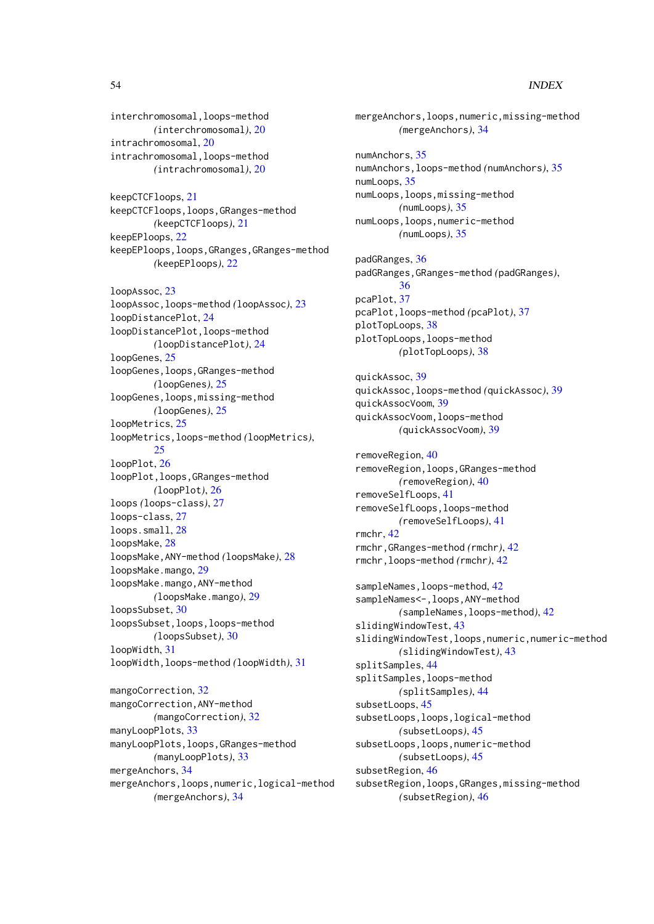#### 54 INDEX

interchromosomal,loops-method *(*interchromosomal*)*, [20](#page-19-0) intrachromosomal, [20](#page-19-0) intrachromosomal,loops-method *(*intrachromosomal*)*, [20](#page-19-0)

keepCTCFloops, [21](#page-20-0) keepCTCFloops,loops,GRanges-method *(*keepCTCFloops*)*, [21](#page-20-0) keepEPloops, [22](#page-21-0) keepEPloops,loops,GRanges,GRanges-method *(*keepEPloops*)*, [22](#page-21-0)

loopAssoc, [23](#page-22-0) loopAssoc,loops-method *(*loopAssoc*)*, [23](#page-22-0) loopDistancePlot, [24](#page-23-0) loopDistancePlot,loops-method *(*loopDistancePlot*)*, [24](#page-23-0) loopGenes, [25](#page-24-0) loopGenes,loops,GRanges-method *(*loopGenes*)*, [25](#page-24-0) loopGenes,loops,missing-method *(*loopGenes*)*, [25](#page-24-0) loopMetrics, [25](#page-24-0) loopMetrics,loops-method *(*loopMetrics*)*, [25](#page-24-0) loopPlot, [26](#page-25-0) loopPlot,loops,GRanges-method *(*loopPlot*)*, [26](#page-25-0) loops *(*loops-class*)*, [27](#page-26-0) loops-class, [27](#page-26-0) loops.small, [28](#page-27-0) loopsMake, [28](#page-27-0) loopsMake,ANY-method *(*loopsMake*)*, [28](#page-27-0) loopsMake.mango, [29](#page-28-0) loopsMake.mango,ANY-method *(*loopsMake.mango*)*, [29](#page-28-0) loopsSubset, [30](#page-29-0) loopsSubset,loops,loops-method *(*loopsSubset*)*, [30](#page-29-0) loopWidth, [31](#page-30-0) loopWidth,loops-method *(*loopWidth*)*, [31](#page-30-0)

mangoCorrection, [32](#page-31-0) mangoCorrection,ANY-method *(*mangoCorrection*)*, [32](#page-31-0) manyLoopPlots, [33](#page-32-0) manyLoopPlots,loops,GRanges-method *(*manyLoopPlots*)*, [33](#page-32-0) mergeAnchors, [34](#page-33-0) mergeAnchors,loops,numeric,logical-method *(*mergeAnchors*)*, [34](#page-33-0)

mergeAnchors,loops,numeric,missing-method *(*mergeAnchors*)*, [34](#page-33-0) numAnchors, [35](#page-34-0) numAnchors,loops-method *(*numAnchors*)*, [35](#page-34-0) numLoops, [35](#page-34-0) numLoops,loops,missing-method *(*numLoops*)*, [35](#page-34-0) numLoops,loops,numeric-method *(*numLoops*)*, [35](#page-34-0) padGRanges, [36](#page-35-0) padGRanges,GRanges-method *(*padGRanges*)*, [36](#page-35-0) pcaPlot, [37](#page-36-0) pcaPlot,loops-method *(*pcaPlot*)*, [37](#page-36-0) plotTopLoops, [38](#page-37-0) plotTopLoops,loops-method *(*plotTopLoops*)*, [38](#page-37-0) quickAssoc, [39](#page-38-0) quickAssoc,loops-method *(*quickAssoc*)*, [39](#page-38-0) quickAssocVoom, [39](#page-38-0) quickAssocVoom,loops-method *(*quickAssocVoom*)*, [39](#page-38-0) removeRegion, [40](#page-39-0) removeRegion,loops,GRanges-method *(*removeRegion*)*, [40](#page-39-0) removeSelfLoops, [41](#page-40-0) removeSelfLoops,loops-method *(*removeSelfLoops*)*, [41](#page-40-0) rmchr, [42](#page-41-0) rmchr,GRanges-method *(*rmchr*)*, [42](#page-41-0) rmchr,loops-method *(*rmchr*)*, [42](#page-41-0) sampleNames, loops-method, [42](#page-41-0) sampleNames<-,loops, ANY-method *(*sampleNames,loops-method*)*, [42](#page-41-0) slidingWindowTest, [43](#page-42-0) slidingWindowTest,loops,numeric,numeric-method *(*slidingWindowTest*)*, [43](#page-42-0) splitSamples, [44](#page-43-0) splitSamples,loops-method *(*splitSamples*)*, [44](#page-43-0) subsetLoops, [45](#page-44-0) subsetLoops,loops,logical-method *(*subsetLoops*)*, [45](#page-44-0) subsetLoops,loops,numeric-method *(*subsetLoops*)*, [45](#page-44-0) subsetRegion, [46](#page-45-0) subsetRegion,loops,GRanges,missing-method *(*subsetRegion*)*, [46](#page-45-0)